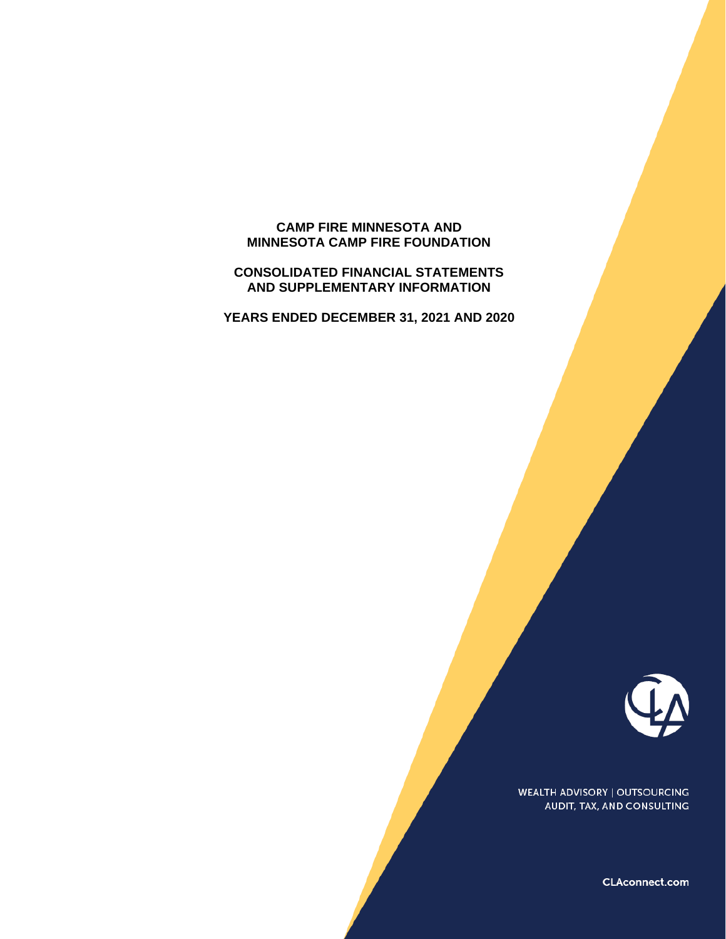# **CAMP FIRE MINNESOTA AND MINNESOTA CAMP FIRE FOUNDATION**

### **CONSOLIDATED FINANCIAL STATEMENTS AND SUPPLEMENTARY INFORMATION**

**YEARS ENDED DECEMBER 31, 2021 AND 2020**



**WEALTH ADVISORY | OUTSOURCING** AUDIT, TAX, AND CONSULTING

CLAconnect.com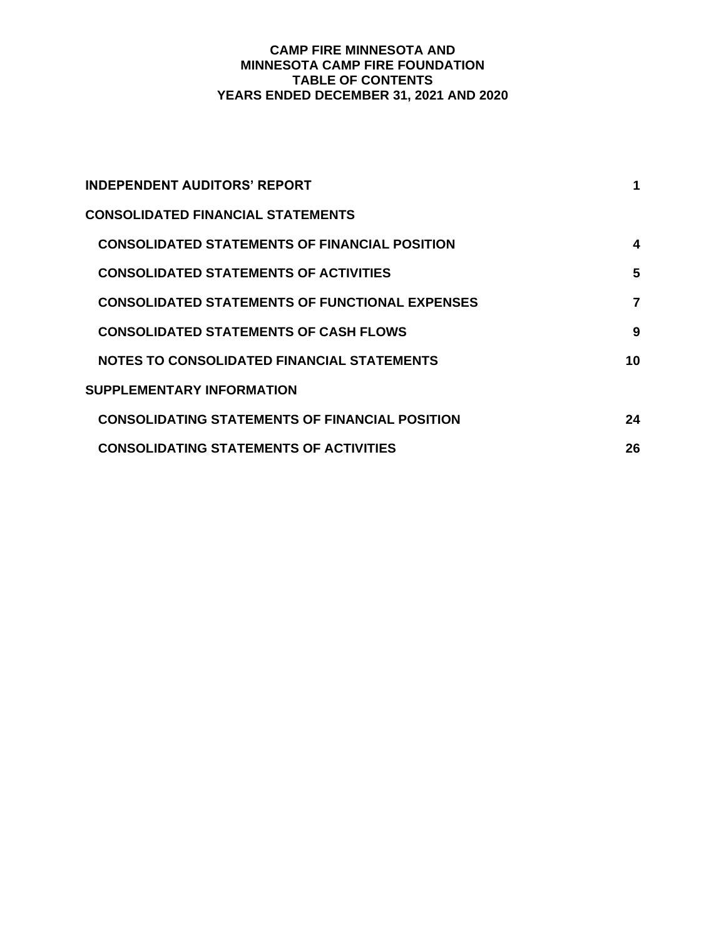# **CAMP FIRE MINNESOTA AND MINNESOTA CAMP FIRE FOUNDATION TABLE OF CONTENTS YEARS ENDED DECEMBER 31, 2021 AND 2020**

| <b>INDEPENDENT AUDITORS' REPORT</b>                   |    |
|-------------------------------------------------------|----|
| <b>CONSOLIDATED FINANCIAL STATEMENTS</b>              |    |
| <b>CONSOLIDATED STATEMENTS OF FINANCIAL POSITION</b>  | 4  |
| <b>CONSOLIDATED STATEMENTS OF ACTIVITIES</b>          | 5  |
| <b>CONSOLIDATED STATEMENTS OF FUNCTIONAL EXPENSES</b> | 7  |
| <b>CONSOLIDATED STATEMENTS OF CASH FLOWS</b>          | 9  |
| <b>NOTES TO CONSOLIDATED FINANCIAL STATEMENTS</b>     | 10 |
| SUPPLEMENTARY INFORMATION                             |    |
| <b>CONSOLIDATING STATEMENTS OF FINANCIAL POSITION</b> | 24 |
| <b>CONSOLIDATING STATEMENTS OF ACTIVITIES</b>         | 26 |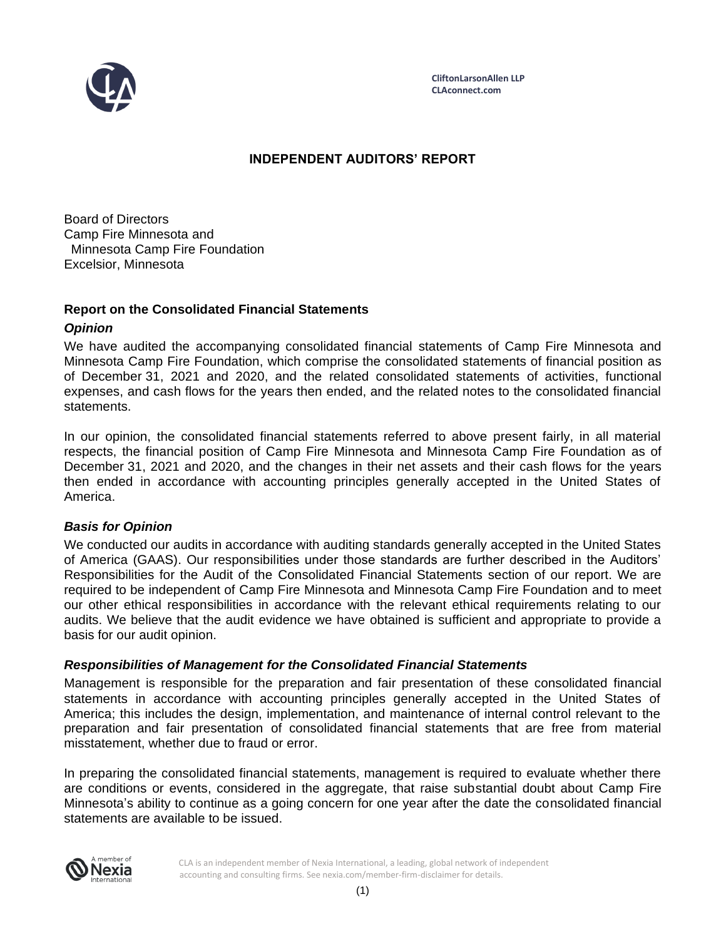

# **INDEPENDENT AUDITORS' REPORT**

Board of Directors Camp Fire Minnesota and Minnesota Camp Fire Foundation Excelsior, Minnesota

# **Report on the Consolidated Financial Statements**

# *Opinion*

We have audited the accompanying consolidated financial statements of Camp Fire Minnesota and Minnesota Camp Fire Foundation, which comprise the consolidated statements of financial position as of December 31, 2021 and 2020, and the related consolidated statements of activities, functional expenses, and cash flows for the years then ended, and the related notes to the consolidated financial statements.

In our opinion, the consolidated financial statements referred to above present fairly, in all material respects, the financial position of Camp Fire Minnesota and Minnesota Camp Fire Foundation as of December 31, 2021 and 2020, and the changes in their net assets and their cash flows for the years then ended in accordance with accounting principles generally accepted in the United States of America.

# *Basis for Opinion*

We conducted our audits in accordance with auditing standards generally accepted in the United States of America (GAAS). Our responsibilities under those standards are further described in the Auditors' Responsibilities for the Audit of the Consolidated Financial Statements section of our report. We are required to be independent of Camp Fire Minnesota and Minnesota Camp Fire Foundation and to meet our other ethical responsibilities in accordance with the relevant ethical requirements relating to our audits. We believe that the audit evidence we have obtained is sufficient and appropriate to provide a basis for our audit opinion.

# *Responsibilities of Management for the Consolidated Financial Statements*

Management is responsible for the preparation and fair presentation of these consolidated financial statements in accordance with accounting principles generally accepted in the United States of America; this includes the design, implementation, and maintenance of internal control relevant to the preparation and fair presentation of consolidated financial statements that are free from material misstatement, whether due to fraud or error.

In preparing the consolidated financial statements, management is required to evaluate whether there are conditions or events, considered in the aggregate, that raise substantial doubt about Camp Fire Minnesota's ability to continue as a going concern for one year after the date the consolidated financial statements are available to be issued.



CLA is an independent member of Nexia International, a leading, global network of independent accounting and consulting firms. See nexia.com/member-firm-disclaimer for details.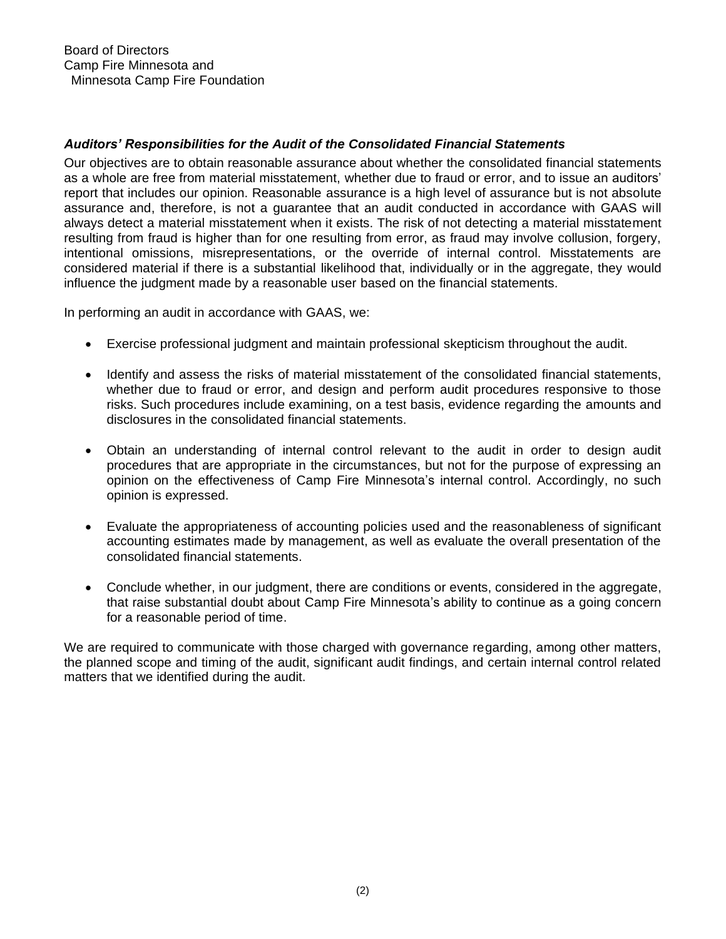# *Auditors' Responsibilities for the Audit of the Consolidated Financial Statements*

Our objectives are to obtain reasonable assurance about whether the consolidated financial statements as a whole are free from material misstatement, whether due to fraud or error, and to issue an auditors' report that includes our opinion. Reasonable assurance is a high level of assurance but is not absolute assurance and, therefore, is not a guarantee that an audit conducted in accordance with GAAS will always detect a material misstatement when it exists. The risk of not detecting a material misstatement resulting from fraud is higher than for one resulting from error, as fraud may involve collusion, forgery, intentional omissions, misrepresentations, or the override of internal control. Misstatements are considered material if there is a substantial likelihood that, individually or in the aggregate, they would influence the judgment made by a reasonable user based on the financial statements.

In performing an audit in accordance with GAAS, we:

- Exercise professional judgment and maintain professional skepticism throughout the audit.
- Identify and assess the risks of material misstatement of the consolidated financial statements, whether due to fraud or error, and design and perform audit procedures responsive to those risks. Such procedures include examining, on a test basis, evidence regarding the amounts and disclosures in the consolidated financial statements.
- Obtain an understanding of internal control relevant to the audit in order to design audit procedures that are appropriate in the circumstances, but not for the purpose of expressing an opinion on the effectiveness of Camp Fire Minnesota's internal control. Accordingly, no such opinion is expressed.
- Evaluate the appropriateness of accounting policies used and the reasonableness of significant accounting estimates made by management, as well as evaluate the overall presentation of the consolidated financial statements.
- Conclude whether, in our judgment, there are conditions or events, considered in the aggregate, that raise substantial doubt about Camp Fire Minnesota's ability to continue as a going concern for a reasonable period of time.

We are required to communicate with those charged with governance regarding, among other matters, the planned scope and timing of the audit, significant audit findings, and certain internal control related matters that we identified during the audit.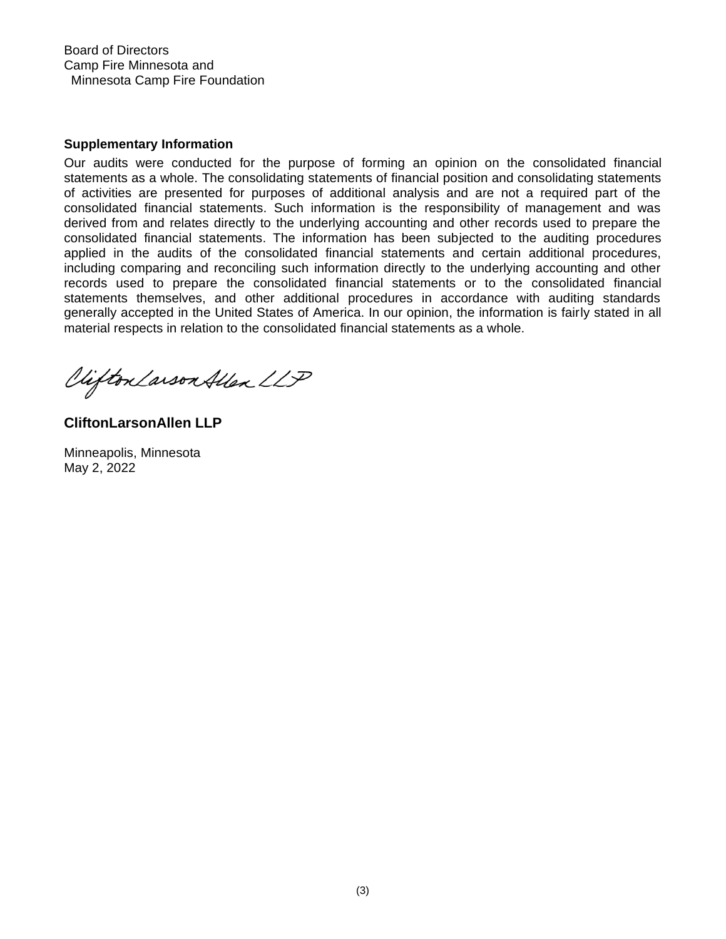Board of Directors Camp Fire Minnesota and Minnesota Camp Fire Foundation

#### **Supplementary Information**

Our audits were conducted for the purpose of forming an opinion on the consolidated financial statements as a whole. The consolidating statements of financial position and consolidating statements of activities are presented for purposes of additional analysis and are not a required part of the consolidated financial statements. Such information is the responsibility of management and was derived from and relates directly to the underlying accounting and other records used to prepare the consolidated financial statements. The information has been subjected to the auditing procedures applied in the audits of the consolidated financial statements and certain additional procedures, including comparing and reconciling such information directly to the underlying accounting and other records used to prepare the consolidated financial statements or to the consolidated financial statements themselves, and other additional procedures in accordance with auditing standards generally accepted in the United States of America. In our opinion, the information is fairly stated in all material respects in relation to the consolidated financial statements as a whole.

Clifton Larson Allen LLP

**CliftonLarsonAllen LLP**

Minneapolis, Minnesota May 2, 2022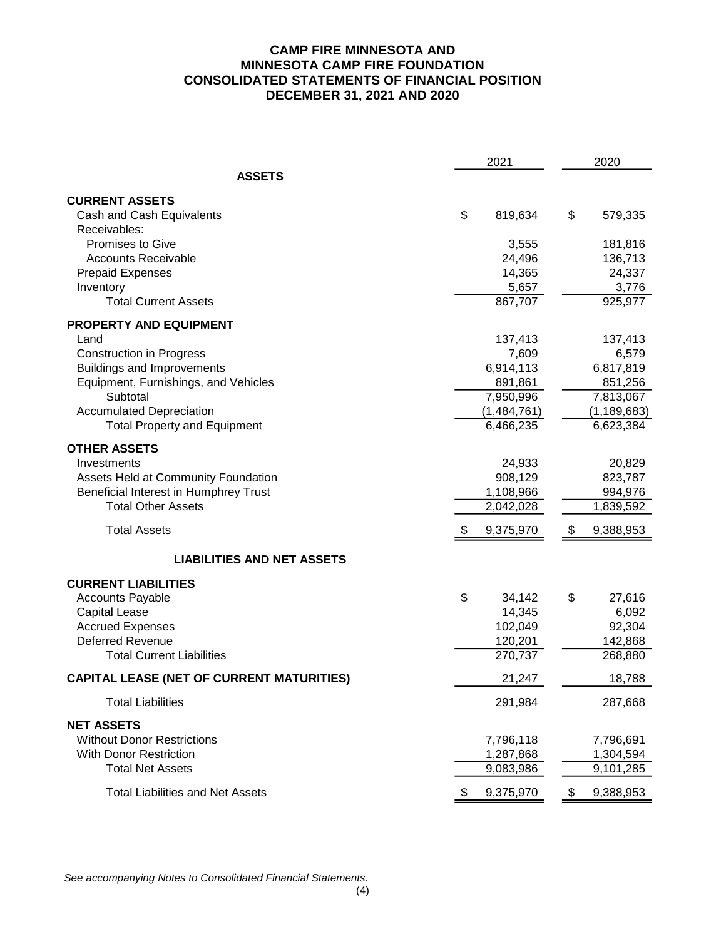# **CAMP FIRE MINNESOTA AND MINNESOTA CAMP FIRE FOUNDATION CONSOLIDATED STATEMENTS OF FINANCIAL POSITION DECEMBER 31, 2021 AND 2020**

|                                                  | 2021            | 2020 |               |  |
|--------------------------------------------------|-----------------|------|---------------|--|
| <b>ASSETS</b>                                    |                 |      |               |  |
| <b>CURRENT ASSETS</b>                            |                 |      |               |  |
| Cash and Cash Equivalents                        | \$<br>819,634   | \$   | 579,335       |  |
| Receivables:                                     |                 |      |               |  |
| Promises to Give                                 | 3,555           |      | 181,816       |  |
| <b>Accounts Receivable</b>                       | 24,496          |      | 136,713       |  |
| <b>Prepaid Expenses</b>                          | 14,365          |      | 24,337        |  |
| Inventory                                        | 5,657           |      | 3,776         |  |
| <b>Total Current Assets</b>                      | 867,707         |      | 925,977       |  |
| PROPERTY AND EQUIPMENT                           |                 |      |               |  |
| Land                                             | 137,413         |      | 137,413       |  |
| <b>Construction in Progress</b>                  | 7,609           |      | 6,579         |  |
| <b>Buildings and Improvements</b>                | 6,914,113       |      | 6,817,819     |  |
| Equipment, Furnishings, and Vehicles             | 891,861         |      | 851,256       |  |
| Subtotal                                         | 7,950,996       |      | 7,813,067     |  |
| <b>Accumulated Depreciation</b>                  | (1,484,761)     |      | (1, 189, 683) |  |
| <b>Total Property and Equipment</b>              | 6,466,235       |      | 6,623,384     |  |
| <b>OTHER ASSETS</b>                              |                 |      |               |  |
| Investments                                      | 24,933          |      | 20,829        |  |
| Assets Held at Community Foundation              | 908,129         |      | 823,787       |  |
| Beneficial Interest in Humphrey Trust            | 1,108,966       |      | 994,976       |  |
| <b>Total Other Assets</b>                        | 2,042,028       |      | 1,839,592     |  |
| <b>Total Assets</b>                              | 9,375,970       | \$   | 9,388,953     |  |
| <b>LIABILITIES AND NET ASSETS</b>                |                 |      |               |  |
| <b>CURRENT LIABILITIES</b>                       |                 |      |               |  |
| <b>Accounts Payable</b>                          | \$<br>34,142    | \$   | 27,616        |  |
| <b>Capital Lease</b>                             | 14,345          |      | 6,092         |  |
| <b>Accrued Expenses</b>                          | 102,049         |      | 92,304        |  |
| <b>Deferred Revenue</b>                          | 120,201         |      | 142,868       |  |
| <b>Total Current Liabilities</b>                 | 270,737         |      | 268,880       |  |
| <b>CAPITAL LEASE (NET OF CURRENT MATURITIES)</b> | 21,247          |      | 18,788        |  |
| <b>Total Liabilities</b>                         | 291,984         |      | 287,668       |  |
| <b>NET ASSETS</b>                                |                 |      |               |  |
| <b>Without Donor Restrictions</b>                | 7,796,118       |      | 7,796,691     |  |
| With Donor Restriction                           | 1,287,868       |      | 1,304,594     |  |
| <b>Total Net Assets</b>                          | 9,083,986       |      | 9,101,285     |  |
| <b>Total Liabilities and Net Assets</b>          | \$<br>9,375,970 | \$   | 9,388,953     |  |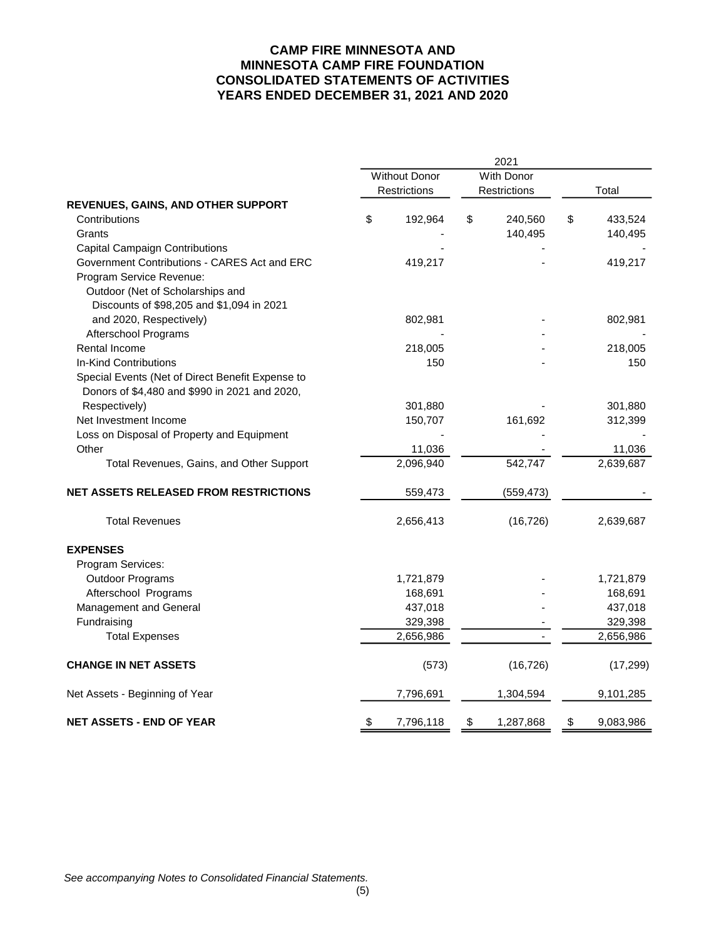### **CAMP FIRE MINNESOTA AND MINNESOTA CAMP FIRE FOUNDATION CONSOLIDATED STATEMENTS OF ACTIVITIES YEARS ENDED DECEMBER 31, 2021 AND 2020**

|                                                  | 2021 |                      |    |                     |    |           |  |  |  |  |
|--------------------------------------------------|------|----------------------|----|---------------------|----|-----------|--|--|--|--|
|                                                  |      | <b>Without Donor</b> |    | With Donor          |    |           |  |  |  |  |
|                                                  |      | Restrictions         |    | <b>Restrictions</b> |    | Total     |  |  |  |  |
| REVENUES, GAINS, AND OTHER SUPPORT               |      |                      |    |                     |    |           |  |  |  |  |
| Contributions                                    | \$   | 192,964              | \$ | 240,560             | \$ | 433,524   |  |  |  |  |
| Grants                                           |      |                      |    | 140,495             |    | 140,495   |  |  |  |  |
| <b>Capital Campaign Contributions</b>            |      |                      |    |                     |    |           |  |  |  |  |
| Government Contributions - CARES Act and ERC     |      | 419,217              |    |                     |    | 419,217   |  |  |  |  |
| Program Service Revenue:                         |      |                      |    |                     |    |           |  |  |  |  |
| Outdoor (Net of Scholarships and                 |      |                      |    |                     |    |           |  |  |  |  |
| Discounts of \$98,205 and \$1,094 in 2021        |      |                      |    |                     |    |           |  |  |  |  |
| and 2020, Respectively)                          |      | 802,981              |    |                     |    | 802,981   |  |  |  |  |
| Afterschool Programs                             |      |                      |    |                     |    |           |  |  |  |  |
| Rental Income                                    |      | 218,005              |    |                     |    | 218,005   |  |  |  |  |
| In-Kind Contributions                            |      | 150                  |    |                     |    | 150       |  |  |  |  |
| Special Events (Net of Direct Benefit Expense to |      |                      |    |                     |    |           |  |  |  |  |
| Donors of \$4,480 and \$990 in 2021 and 2020,    |      |                      |    |                     |    |           |  |  |  |  |
| Respectively)                                    |      | 301,880              |    |                     |    | 301,880   |  |  |  |  |
| Net Investment Income                            |      | 150,707              |    | 161,692             |    | 312,399   |  |  |  |  |
| Loss on Disposal of Property and Equipment       |      |                      |    |                     |    |           |  |  |  |  |
| Other                                            |      | 11,036               |    |                     |    | 11,036    |  |  |  |  |
| Total Revenues, Gains, and Other Support         |      | 2,096,940            |    | 542,747             |    | 2,639,687 |  |  |  |  |
| <b>NET ASSETS RELEASED FROM RESTRICTIONS</b>     |      | 559,473              |    | (559, 473)          |    |           |  |  |  |  |
| <b>Total Revenues</b>                            |      | 2,656,413            |    | (16, 726)           |    | 2,639,687 |  |  |  |  |
| <b>EXPENSES</b>                                  |      |                      |    |                     |    |           |  |  |  |  |
| Program Services:                                |      |                      |    |                     |    |           |  |  |  |  |
| <b>Outdoor Programs</b>                          |      | 1,721,879            |    |                     |    | 1,721,879 |  |  |  |  |
| Afterschool Programs                             |      | 168,691              |    |                     |    | 168,691   |  |  |  |  |
| Management and General                           |      | 437,018              |    |                     |    | 437,018   |  |  |  |  |
| Fundraising                                      |      | 329,398              |    |                     |    | 329,398   |  |  |  |  |
| <b>Total Expenses</b>                            |      | 2,656,986            |    |                     |    | 2,656,986 |  |  |  |  |
| <b>CHANGE IN NET ASSETS</b>                      |      | (573)                |    | (16, 726)           |    | (17, 299) |  |  |  |  |
| Net Assets - Beginning of Year                   |      | 7,796,691            |    | 1,304,594           |    | 9,101,285 |  |  |  |  |
| <b>NET ASSETS - END OF YEAR</b>                  | \$   | 7,796,118            | \$ | 1,287,868           | \$ | 9,083,986 |  |  |  |  |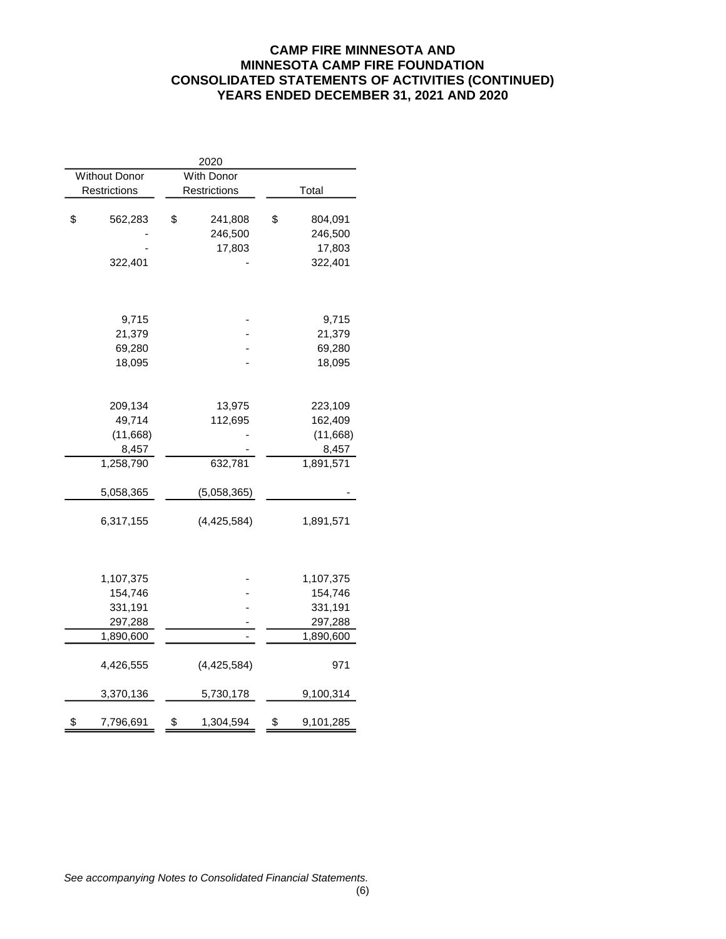# **CAMP FIRE MINNESOTA AND MINNESOTA CAMP FIRE FOUNDATION CONSOLIDATED STATEMENTS OF ACTIVITIES (CONTINUED) YEARS ENDED DECEMBER 31, 2021 AND 2020**

|                      | 2020            |                 |
|----------------------|-----------------|-----------------|
| <b>Without Donor</b> | With Donor      |                 |
| Restrictions         | Restrictions    | Total           |
|                      |                 |                 |
| \$<br>562,283        | \$<br>241,808   | \$<br>804,091   |
|                      | 246,500         | 246,500         |
|                      | 17,803          | 17,803          |
| 322,401              |                 | 322,401         |
|                      |                 |                 |
|                      |                 |                 |
| 9,715                |                 | 9,715           |
| 21,379               |                 | 21,379          |
| 69,280               |                 | 69,280          |
| 18,095               |                 | 18,095          |
|                      |                 |                 |
| 209,134              | 13,975          | 223,109         |
| 49,714               | 112,695         | 162,409         |
| (11,668)             |                 | (11,668)        |
| 8,457                |                 | 8,457           |
| 1,258,790            | 632,781         | 1,891,571       |
|                      |                 |                 |
| 5,058,365            | (5,058,365)     |                 |
| 6,317,155            | (4,425,584)     | 1,891,571       |
|                      |                 |                 |
|                      |                 |                 |
| 1,107,375            |                 | 1,107,375       |
| 154,746              |                 | 154,746         |
| 331,191              |                 | 331,191         |
| 297,288              |                 | 297,288         |
| 1,890,600            |                 | 1,890,600       |
|                      |                 |                 |
| 4,426,555            | (4,425,584)     | 971             |
| 3,370,136            | 5,730,178       | 9,100,314       |
| \$<br>7,796,691      | \$<br>1,304,594 | \$<br>9,101,285 |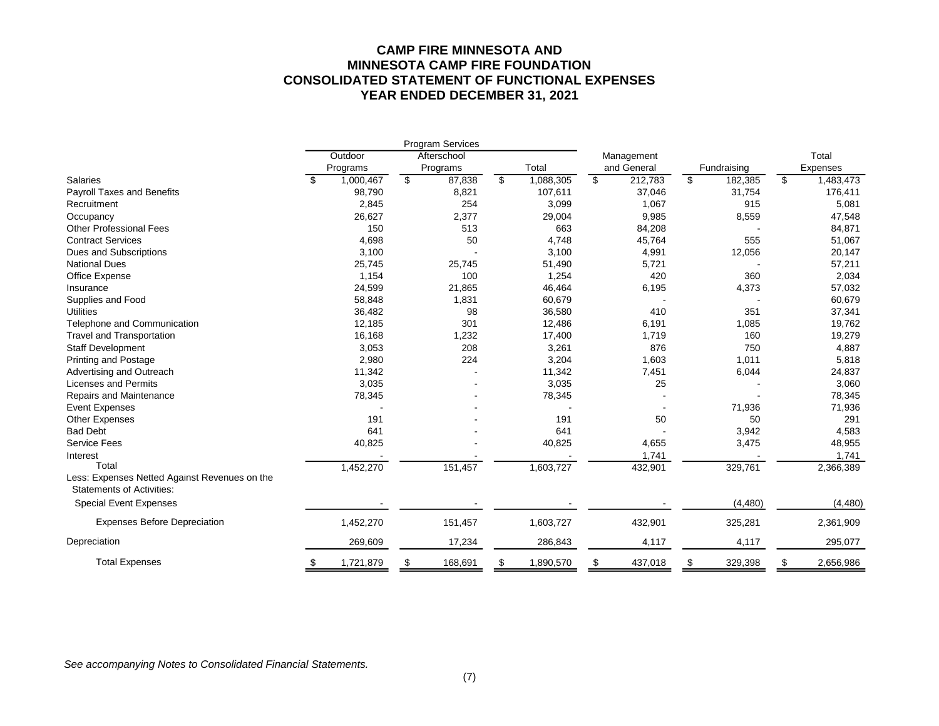# **CAMP FIRE MINNESOTA AND MINNESOTA CAMP FIRE FOUNDATION CONSOLIDATED STATEMENT OF FUNCTIONAL EXPENSES YEAR ENDED DECEMBER 31, 2021**

|                                               |                 |                 | <b>Program Services</b> |                 |                |             |               |                 |
|-----------------------------------------------|-----------------|-----------------|-------------------------|-----------------|----------------|-------------|---------------|-----------------|
|                                               | Outdoor         |                 | Afterschool             |                 |                | Management  |               | Total           |
|                                               | Programs        |                 | Programs                | Total           |                | and General | Fundraising   | Expenses        |
| <b>Salaries</b>                               | \$<br>1,000,467 | $\overline{\$}$ | 87,838                  | \$<br>1,088,305 | $\mathfrak{S}$ | 212,783     | \$<br>182,385 | \$<br>1,483,473 |
| <b>Payroll Taxes and Benefits</b>             | 98,790          |                 | 8,821                   | 107,611         |                | 37,046      | 31,754        | 176,411         |
| Recruitment                                   | 2,845           |                 | 254                     | 3,099           |                | 1,067       | 915           | 5,081           |
| Occupancy                                     | 26,627          |                 | 2,377                   | 29,004          |                | 9,985       | 8,559         | 47,548          |
| <b>Other Professional Fees</b>                | 150             |                 | 513                     | 663             |                | 84,208      |               | 84,871          |
| <b>Contract Services</b>                      | 4,698           |                 | 50                      | 4,748           |                | 45,764      | 555           | 51,067          |
| Dues and Subscriptions                        | 3,100           |                 |                         | 3,100           |                | 4,991       | 12,056        | 20,147          |
| <b>National Dues</b>                          | 25,745          |                 | 25,745                  | 51,490          |                | 5,721       |               | 57,211          |
| Office Expense                                | 1,154           |                 | 100                     | 1,254           |                | 420         | 360           | 2,034           |
| Insurance                                     | 24,599          |                 | 21,865                  | 46,464          |                | 6,195       | 4,373         | 57,032          |
| Supplies and Food                             | 58,848          |                 | 1,831                   | 60,679          |                |             |               | 60,679          |
| <b>Utilities</b>                              | 36,482          |                 | 98                      | 36,580          |                | 410         | 351           | 37,341          |
| Telephone and Communication                   | 12,185          |                 | 301                     | 12,486          |                | 6,191       | 1,085         | 19,762          |
| <b>Travel and Transportation</b>              | 16,168          |                 | 1,232                   | 17,400          |                | 1,719       | 160           | 19,279          |
| <b>Staff Development</b>                      | 3,053           |                 | 208                     | 3,261           |                | 876         | 750           | 4,887           |
| <b>Printing and Postage</b>                   | 2,980           |                 | 224                     | 3,204           |                | 1,603       | 1,011         | 5,818           |
| Advertising and Outreach                      | 11,342          |                 |                         | 11,342          |                | 7,451       | 6,044         | 24,837          |
| <b>Licenses and Permits</b>                   | 3,035           |                 |                         | 3,035           |                | 25          |               | 3,060           |
| Repairs and Maintenance                       | 78,345          |                 |                         | 78,345          |                |             |               | 78,345          |
| <b>Event Expenses</b>                         |                 |                 |                         |                 |                |             | 71,936        | 71,936          |
| Other Expenses                                | 191             |                 |                         | 191             |                | 50          | 50            | 291             |
| <b>Bad Debt</b>                               | 641             |                 |                         | 641             |                |             | 3,942         | 4,583           |
| <b>Service Fees</b>                           | 40,825          |                 |                         | 40,825          |                | 4,655       | 3,475         | 48,955          |
| Interest                                      |                 |                 |                         |                 |                | 1,741       |               | 1,741           |
| Total                                         | 1,452,270       |                 | 151,457                 | 1,603,727       |                | 432,901     | 329,761       | 2,366,389       |
| Less: Expenses Netted Against Revenues on the |                 |                 |                         |                 |                |             |               |                 |
| <b>Statements of Activities:</b>              |                 |                 |                         |                 |                |             |               |                 |
| <b>Special Event Expenses</b>                 |                 |                 |                         |                 |                |             | (4, 480)      | (4, 480)        |
| <b>Expenses Before Depreciation</b>           | 1,452,270       |                 | 151,457                 | 1,603,727       |                | 432,901     | 325,281       | 2,361,909       |
| Depreciation                                  | 269,609         |                 | 17,234                  | 286,843         |                | 4,117       | 4,117         | 295,077         |
| <b>Total Expenses</b>                         | \$<br>1,721,879 | \$              | 168,691                 | \$<br>1,890,570 | \$             | 437,018     | \$<br>329,398 | \$<br>2,656,986 |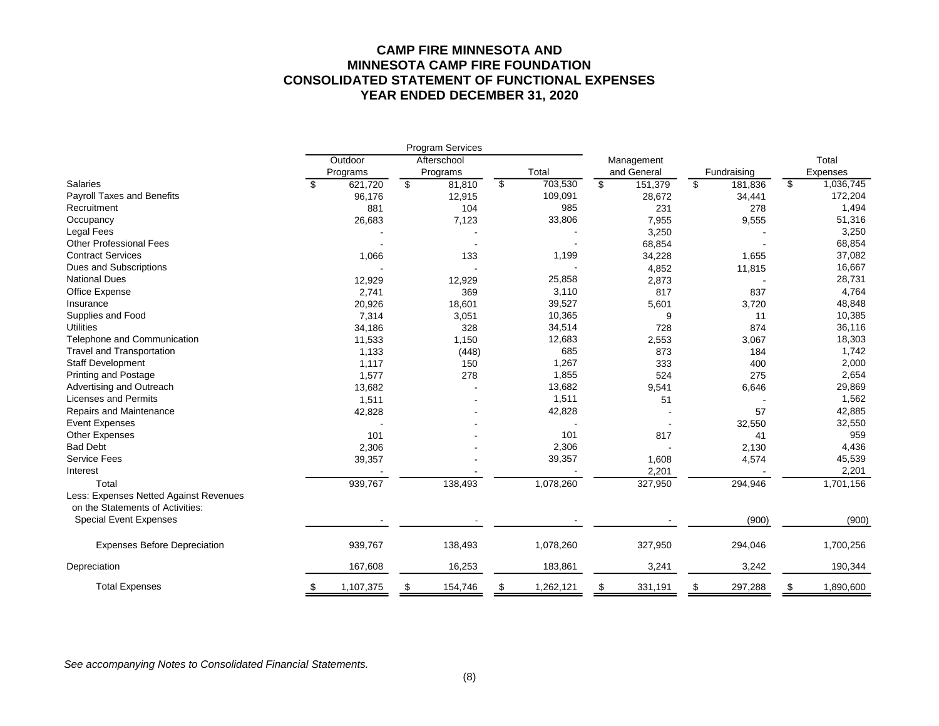# **CAMP FIRE MINNESOTA AND MINNESOTA CAMP FIRE FOUNDATION CONSOLIDATED STATEMENT OF FUNCTIONAL EXPENSES YEAR ENDED DECEMBER 31, 2020**

|                                                                            |                 | <b>Program Services</b> |                 |               |               |                 |
|----------------------------------------------------------------------------|-----------------|-------------------------|-----------------|---------------|---------------|-----------------|
|                                                                            | Outdoor         | Afterschool             |                 | Management    |               | Total           |
|                                                                            | Programs        | Programs                | Total           | and General   | Fundraising   | Expenses        |
| <b>Salaries</b>                                                            | \$<br>621,720   | \$<br>81,810            | \$<br>703,530   | \$<br>151,379 | \$<br>181,836 | \$<br>1,036,745 |
| Payroll Taxes and Benefits                                                 | 96,176          | 12,915                  | 109,091         | 28,672        | 34,441        | 172,204         |
| Recruitment                                                                | 881             | 104                     | 985             | 231           | 278           | 1,494           |
| Occupancy                                                                  | 26,683          | 7,123                   | 33,806          | 7,955         | 9,555         | 51,316          |
| Legal Fees                                                                 |                 |                         |                 | 3,250         |               | 3,250           |
| <b>Other Professional Fees</b>                                             |                 |                         |                 | 68,854        |               | 68,854          |
| <b>Contract Services</b>                                                   | 1,066           | 133                     | 1,199           | 34,228        | 1,655         | 37,082          |
| Dues and Subscriptions                                                     |                 |                         |                 | 4,852         | 11,815        | 16,667          |
| <b>National Dues</b>                                                       | 12,929          | 12,929                  | 25,858          | 2,873         |               | 28,731          |
| Office Expense                                                             | 2,741           | 369                     | 3,110           | 817           | 837           | 4,764           |
| Insurance                                                                  | 20,926          | 18,601                  | 39,527          | 5,601         | 3,720         | 48,848          |
| Supplies and Food                                                          | 7,314           | 3,051                   | 10,365          | 9             | 11            | 10,385          |
| <b>Utilities</b>                                                           | 34,186          | 328                     | 34,514          | 728           | 874           | 36,116          |
| Telephone and Communication                                                | 11,533          | 1,150                   | 12,683          | 2,553         | 3,067         | 18,303          |
| Travel and Transportation                                                  | 1,133           | (448)                   | 685             | 873           | 184           | 1,742           |
| <b>Staff Development</b>                                                   | 1,117           | 150                     | 1,267           | 333           | 400           | 2,000           |
| <b>Printing and Postage</b>                                                | 1,577           | 278                     | 1,855           | 524           | 275           | 2,654           |
| Advertising and Outreach                                                   | 13,682          |                         | 13,682          | 9,541         | 6,646         | 29,869          |
| <b>Licenses and Permits</b>                                                | 1,511           |                         | 1,511           | 51            |               | 1,562           |
| Repairs and Maintenance                                                    | 42,828          |                         | 42,828          |               | 57            | 42,885          |
| <b>Event Expenses</b>                                                      |                 |                         |                 |               | 32,550        | 32,550          |
| <b>Other Expenses</b>                                                      | 101             |                         | 101             | 817           | 41            | 959             |
| <b>Bad Debt</b>                                                            | 2,306           |                         | 2,306           |               | 2,130         | 4,436           |
| Service Fees                                                               | 39,357          |                         | 39,357          | 1,608         | 4,574         | 45,539          |
| Interest                                                                   |                 |                         |                 | 2,201         |               | 2,201           |
| Total                                                                      | 939,767         | 138,493                 | 1,078,260       | 327,950       | 294,946       | 1,701,156       |
| Less: Expenses Netted Against Revenues<br>on the Statements of Activities: |                 |                         |                 |               |               |                 |
| <b>Special Event Expenses</b>                                              |                 |                         |                 |               | (900)         | (900)           |
| <b>Expenses Before Depreciation</b>                                        | 939,767         | 138,493                 | 1,078,260       | 327,950       | 294,046       | 1,700,256       |
| Depreciation                                                               | 167,608         | 16,253                  | 183,861         | 3,241         | 3,242         | 190,344         |
| <b>Total Expenses</b>                                                      | \$<br>1,107,375 | \$<br>154,746           | \$<br>1,262,121 | \$<br>331,191 | \$<br>297,288 | \$<br>1,890,600 |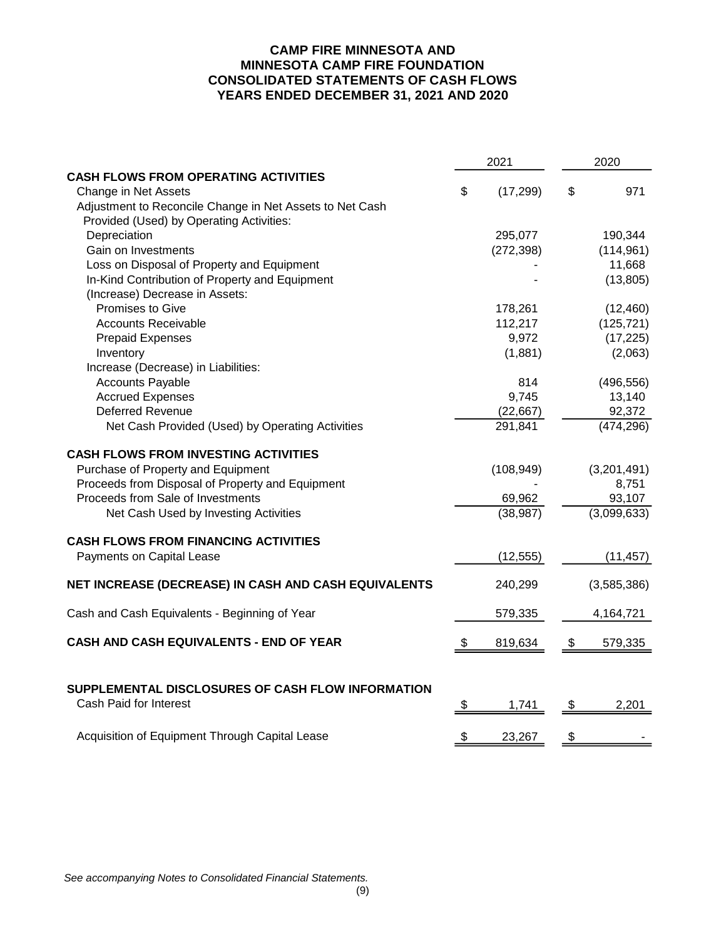# **CAMP FIRE MINNESOTA AND MINNESOTA CAMP FIRE FOUNDATION CONSOLIDATED STATEMENTS OF CASH FLOWS YEARS ENDED DECEMBER 31, 2021 AND 2020**

|                                                          | 2021 |            |    | 2020        |  |  |
|----------------------------------------------------------|------|------------|----|-------------|--|--|
| <b>CASH FLOWS FROM OPERATING ACTIVITIES</b>              |      |            |    |             |  |  |
| Change in Net Assets                                     | \$   | (17, 299)  | \$ | 971         |  |  |
| Adjustment to Reconcile Change in Net Assets to Net Cash |      |            |    |             |  |  |
| Provided (Used) by Operating Activities:                 |      |            |    |             |  |  |
| Depreciation                                             |      | 295,077    |    | 190,344     |  |  |
| Gain on Investments                                      |      | (272, 398) |    | (114, 961)  |  |  |
| Loss on Disposal of Property and Equipment               |      |            |    | 11,668      |  |  |
| In-Kind Contribution of Property and Equipment           |      |            |    | (13, 805)   |  |  |
| (Increase) Decrease in Assets:                           |      |            |    |             |  |  |
| Promises to Give                                         |      | 178,261    |    | (12, 460)   |  |  |
| <b>Accounts Receivable</b>                               |      | 112,217    |    | (125, 721)  |  |  |
| <b>Prepaid Expenses</b>                                  |      | 9,972      |    | (17, 225)   |  |  |
| Inventory                                                |      | (1,881)    |    | (2,063)     |  |  |
| Increase (Decrease) in Liabilities:                      |      |            |    |             |  |  |
| <b>Accounts Payable</b>                                  |      | 814        |    | (496, 556)  |  |  |
| <b>Accrued Expenses</b>                                  |      | 9,745      |    | 13,140      |  |  |
| Deferred Revenue                                         |      | (22, 667)  |    | 92,372      |  |  |
| Net Cash Provided (Used) by Operating Activities         |      | 291,841    |    | (474, 296)  |  |  |
| <b>CASH FLOWS FROM INVESTING ACTIVITIES</b>              |      |            |    |             |  |  |
| Purchase of Property and Equipment                       |      | (108, 949) |    | (3,201,491) |  |  |
| Proceeds from Disposal of Property and Equipment         |      |            |    | 8,751       |  |  |
| Proceeds from Sale of Investments                        |      | 69,962     |    | 93,107      |  |  |
| Net Cash Used by Investing Activities                    |      | (38, 987)  |    | (3,099,633) |  |  |
| <b>CASH FLOWS FROM FINANCING ACTIVITIES</b>              |      |            |    |             |  |  |
| Payments on Capital Lease                                |      | (12, 555)  |    | (11, 457)   |  |  |
| NET INCREASE (DECREASE) IN CASH AND CASH EQUIVALENTS     |      | 240,299    |    | (3,585,386) |  |  |
| Cash and Cash Equivalents - Beginning of Year            |      | 579,335    |    | 4,164,721   |  |  |
| CASH AND CASH EQUIVALENTS - END OF YEAR                  | \$   | 819,634    | \$ | 579,335     |  |  |
| SUPPLEMENTAL DISCLOSURES OF CASH FLOW INFORMATION        |      |            |    |             |  |  |
| Cash Paid for Interest                                   | \$   | 1,741      | \$ | 2,201       |  |  |
| Acquisition of Equipment Through Capital Lease           | \$   | 23,267     | \$ |             |  |  |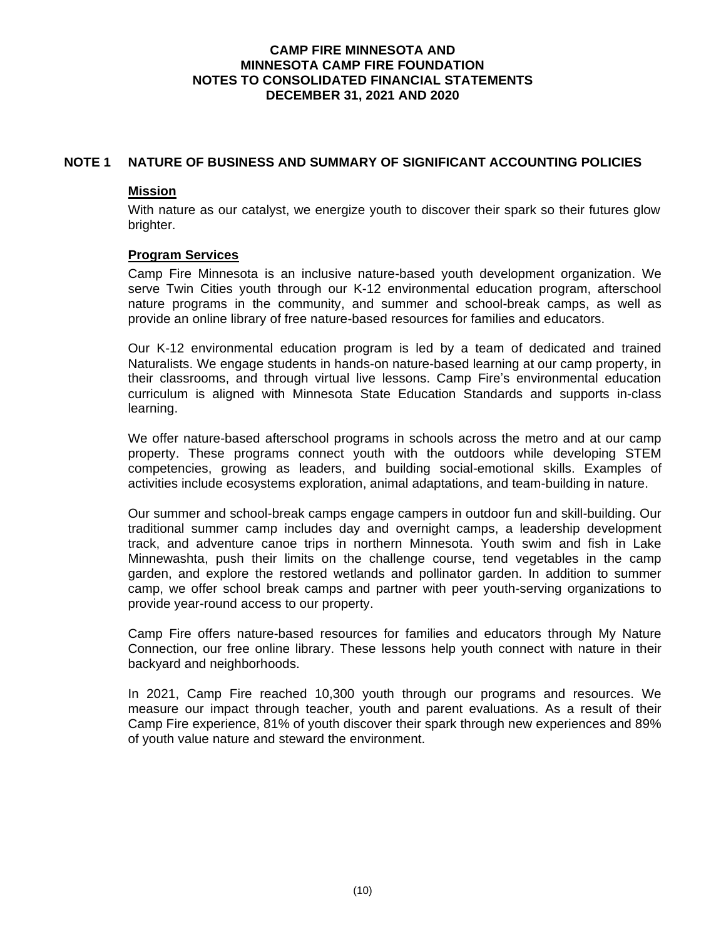# **NOTE 1 NATURE OF BUSINESS AND SUMMARY OF SIGNIFICANT ACCOUNTING POLICIES**

### **Mission**

With nature as our catalyst, we energize youth to discover their spark so their futures glow brighter.

### **Program Services**

Camp Fire Minnesota is an inclusive nature-based youth development organization. We serve Twin Cities youth through our K-12 environmental education program, afterschool nature programs in the community, and summer and school-break camps, as well as provide an online library of free nature-based resources for families and educators.

Our K-12 environmental education program is led by a team of dedicated and trained Naturalists. We engage students in hands-on nature-based learning at our camp property, in their classrooms, and through virtual live lessons. Camp Fire's environmental education curriculum is aligned with Minnesota State Education Standards and supports in-class learning.

We offer nature-based afterschool programs in schools across the metro and at our camp property. These programs connect youth with the outdoors while developing STEM competencies, growing as leaders, and building social-emotional skills. Examples of activities include ecosystems exploration, animal adaptations, and team-building in nature.

Our summer and school-break camps engage campers in outdoor fun and skill-building. Our traditional summer camp includes day and overnight camps, a leadership development track, and adventure canoe trips in northern Minnesota. Youth swim and fish in Lake Minnewashta, push their limits on the challenge course, tend vegetables in the camp garden, and explore the restored wetlands and pollinator garden. In addition to summer camp, we offer school break camps and partner with peer youth-serving organizations to provide year-round access to our property.

Camp Fire offers nature-based resources for families and educators through My Nature Connection, our free online library. These lessons help youth connect with nature in their backyard and neighborhoods.

In 2021, Camp Fire reached 10,300 youth through our programs and resources. We measure our impact through teacher, youth and parent evaluations. As a result of their Camp Fire experience, 81% of youth discover their spark through new experiences and 89% of youth value nature and steward the environment.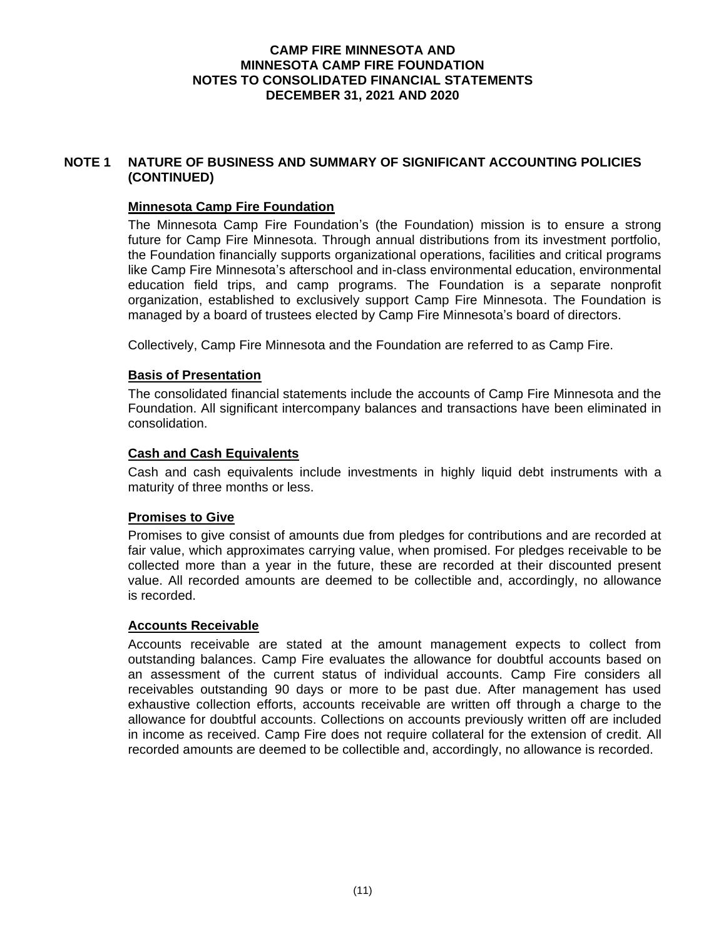# **NOTE 1 NATURE OF BUSINESS AND SUMMARY OF SIGNIFICANT ACCOUNTING POLICIES (CONTINUED)**

# **Minnesota Camp Fire Foundation**

The Minnesota Camp Fire Foundation's (the Foundation) mission is to ensure a strong future for Camp Fire Minnesota. Through annual distributions from its investment portfolio, the Foundation financially supports organizational operations, facilities and critical programs like Camp Fire Minnesota's afterschool and in-class environmental education, environmental education field trips, and camp programs. The Foundation is a separate nonprofit organization, established to exclusively support Camp Fire Minnesota. The Foundation is managed by a board of trustees elected by Camp Fire Minnesota's board of directors.

Collectively, Camp Fire Minnesota and the Foundation are referred to as Camp Fire.

# **Basis of Presentation**

The consolidated financial statements include the accounts of Camp Fire Minnesota and the Foundation. All significant intercompany balances and transactions have been eliminated in consolidation.

# **Cash and Cash Equivalents**

Cash and cash equivalents include investments in highly liquid debt instruments with a maturity of three months or less.

### **Promises to Give**

Promises to give consist of amounts due from pledges for contributions and are recorded at fair value, which approximates carrying value, when promised. For pledges receivable to be collected more than a year in the future, these are recorded at their discounted present value. All recorded amounts are deemed to be collectible and, accordingly, no allowance is recorded.

### **Accounts Receivable**

Accounts receivable are stated at the amount management expects to collect from outstanding balances. Camp Fire evaluates the allowance for doubtful accounts based on an assessment of the current status of individual accounts. Camp Fire considers all receivables outstanding 90 days or more to be past due. After management has used exhaustive collection efforts, accounts receivable are written off through a charge to the allowance for doubtful accounts. Collections on accounts previously written off are included in income as received. Camp Fire does not require collateral for the extension of credit. All recorded amounts are deemed to be collectible and, accordingly, no allowance is recorded.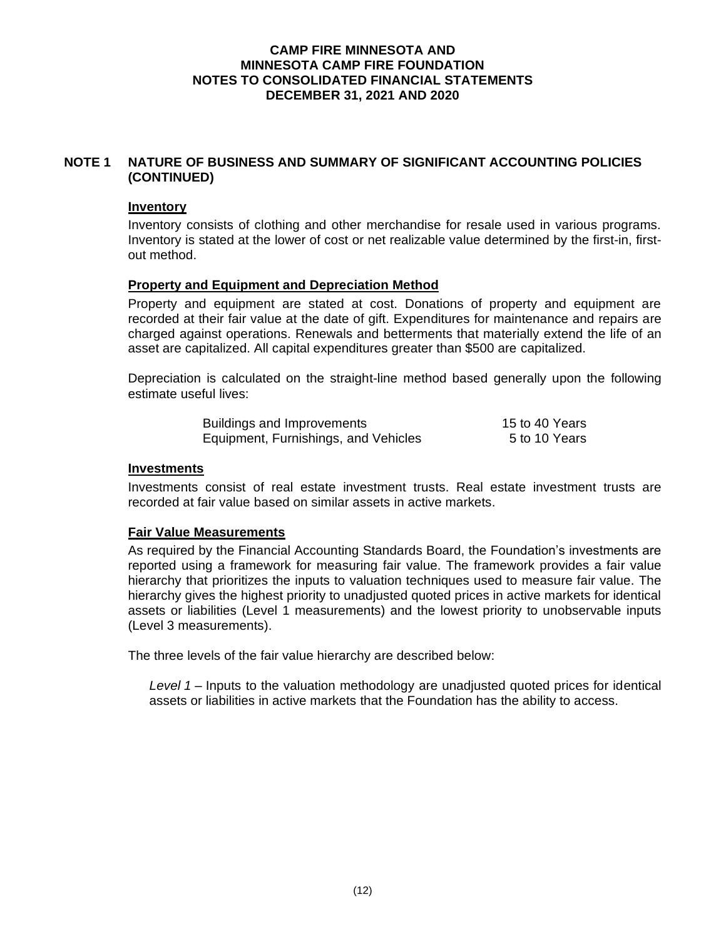# **NOTE 1 NATURE OF BUSINESS AND SUMMARY OF SIGNIFICANT ACCOUNTING POLICIES (CONTINUED)**

### **Inventory**

Inventory consists of clothing and other merchandise for resale used in various programs. Inventory is stated at the lower of cost or net realizable value determined by the first-in, firstout method.

# **Property and Equipment and Depreciation Method**

Property and equipment are stated at cost. Donations of property and equipment are recorded at their fair value at the date of gift. Expenditures for maintenance and repairs are charged against operations. Renewals and betterments that materially extend the life of an asset are capitalized. All capital expenditures greater than \$500 are capitalized.

Depreciation is calculated on the straight-line method based generally upon the following estimate useful lives:

| <b>Buildings and Improvements</b>    | 15 to 40 Years |
|--------------------------------------|----------------|
| Equipment, Furnishings, and Vehicles | 5 to 10 Years  |

# **Investments**

Investments consist of real estate investment trusts. Real estate investment trusts are recorded at fair value based on similar assets in active markets.

# **Fair Value Measurements**

As required by the Financial Accounting Standards Board, the Foundation's investments are reported using a framework for measuring fair value. The framework provides a fair value hierarchy that prioritizes the inputs to valuation techniques used to measure fair value. The hierarchy gives the highest priority to unadjusted quoted prices in active markets for identical assets or liabilities (Level 1 measurements) and the lowest priority to unobservable inputs (Level 3 measurements).

The three levels of the fair value hierarchy are described below:

*Level 1* – Inputs to the valuation methodology are unadjusted quoted prices for identical assets or liabilities in active markets that the Foundation has the ability to access.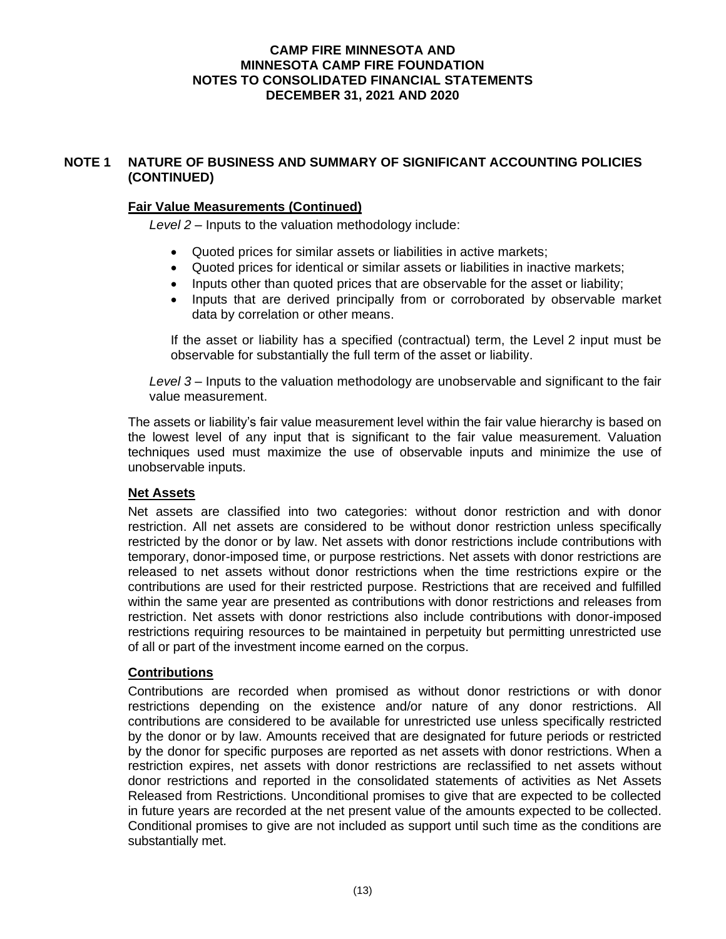# **NOTE 1 NATURE OF BUSINESS AND SUMMARY OF SIGNIFICANT ACCOUNTING POLICIES (CONTINUED)**

# **Fair Value Measurements (Continued)**

*Level 2* – Inputs to the valuation methodology include:

- Quoted prices for similar assets or liabilities in active markets;
- Quoted prices for identical or similar assets or liabilities in inactive markets;
- Inputs other than quoted prices that are observable for the asset or liability;
- Inputs that are derived principally from or corroborated by observable market data by correlation or other means.

If the asset or liability has a specified (contractual) term, the Level 2 input must be observable for substantially the full term of the asset or liability.

*Level 3* – Inputs to the valuation methodology are unobservable and significant to the fair value measurement.

The assets or liability's fair value measurement level within the fair value hierarchy is based on the lowest level of any input that is significant to the fair value measurement. Valuation techniques used must maximize the use of observable inputs and minimize the use of unobservable inputs.

### **Net Assets**

Net assets are classified into two categories: without donor restriction and with donor restriction. All net assets are considered to be without donor restriction unless specifically restricted by the donor or by law. Net assets with donor restrictions include contributions with temporary, donor-imposed time, or purpose restrictions. Net assets with donor restrictions are released to net assets without donor restrictions when the time restrictions expire or the contributions are used for their restricted purpose. Restrictions that are received and fulfilled within the same year are presented as contributions with donor restrictions and releases from restriction. Net assets with donor restrictions also include contributions with donor-imposed restrictions requiring resources to be maintained in perpetuity but permitting unrestricted use of all or part of the investment income earned on the corpus.

### **Contributions**

Contributions are recorded when promised as without donor restrictions or with donor restrictions depending on the existence and/or nature of any donor restrictions. All contributions are considered to be available for unrestricted use unless specifically restricted by the donor or by law. Amounts received that are designated for future periods or restricted by the donor for specific purposes are reported as net assets with donor restrictions. When a restriction expires, net assets with donor restrictions are reclassified to net assets without donor restrictions and reported in the consolidated statements of activities as Net Assets Released from Restrictions. Unconditional promises to give that are expected to be collected in future years are recorded at the net present value of the amounts expected to be collected. Conditional promises to give are not included as support until such time as the conditions are substantially met.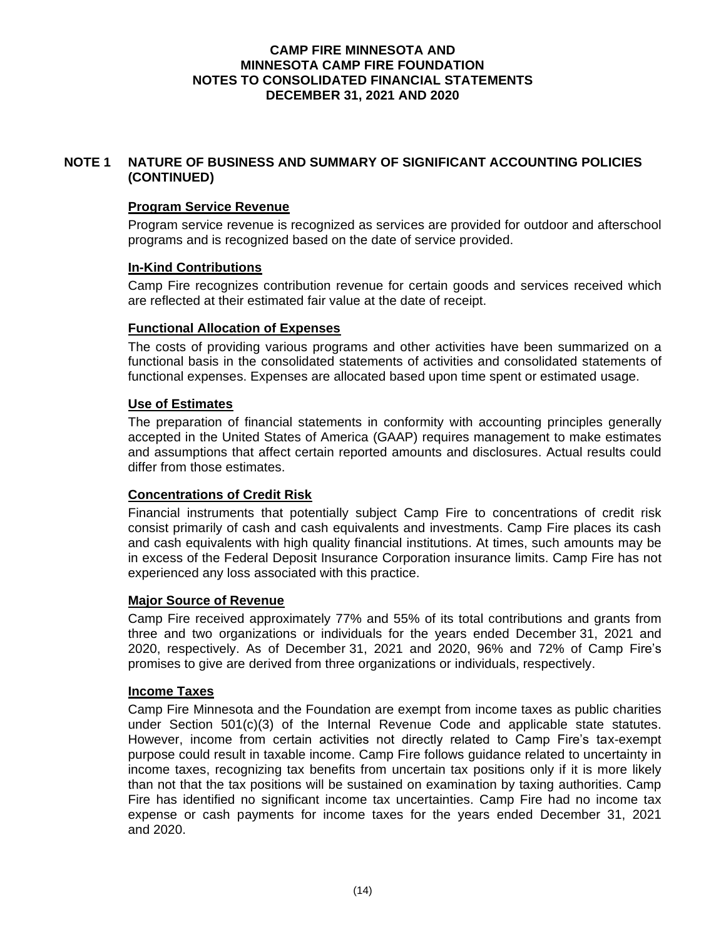# **NOTE 1 NATURE OF BUSINESS AND SUMMARY OF SIGNIFICANT ACCOUNTING POLICIES (CONTINUED)**

# **Program Service Revenue**

Program service revenue is recognized as services are provided for outdoor and afterschool programs and is recognized based on the date of service provided.

# **In-Kind Contributions**

Camp Fire recognizes contribution revenue for certain goods and services received which are reflected at their estimated fair value at the date of receipt.

# **Functional Allocation of Expenses**

The costs of providing various programs and other activities have been summarized on a functional basis in the consolidated statements of activities and consolidated statements of functional expenses. Expenses are allocated based upon time spent or estimated usage.

# **Use of Estimates**

The preparation of financial statements in conformity with accounting principles generally accepted in the United States of America (GAAP) requires management to make estimates and assumptions that affect certain reported amounts and disclosures. Actual results could differ from those estimates.

# **Concentrations of Credit Risk**

Financial instruments that potentially subject Camp Fire to concentrations of credit risk consist primarily of cash and cash equivalents and investments. Camp Fire places its cash and cash equivalents with high quality financial institutions. At times, such amounts may be in excess of the Federal Deposit Insurance Corporation insurance limits. Camp Fire has not experienced any loss associated with this practice.

### **Major Source of Revenue**

Camp Fire received approximately 77% and 55% of its total contributions and grants from three and two organizations or individuals for the years ended December 31, 2021 and 2020, respectively. As of December 31, 2021 and 2020, 96% and 72% of Camp Fire's promises to give are derived from three organizations or individuals, respectively.

# **Income Taxes**

Camp Fire Minnesota and the Foundation are exempt from income taxes as public charities under Section 501(c)(3) of the Internal Revenue Code and applicable state statutes. However, income from certain activities not directly related to Camp Fire's tax-exempt purpose could result in taxable income. Camp Fire follows guidance related to uncertainty in income taxes, recognizing tax benefits from uncertain tax positions only if it is more likely than not that the tax positions will be sustained on examination by taxing authorities. Camp Fire has identified no significant income tax uncertainties. Camp Fire had no income tax expense or cash payments for income taxes for the years ended December 31, 2021 and 2020.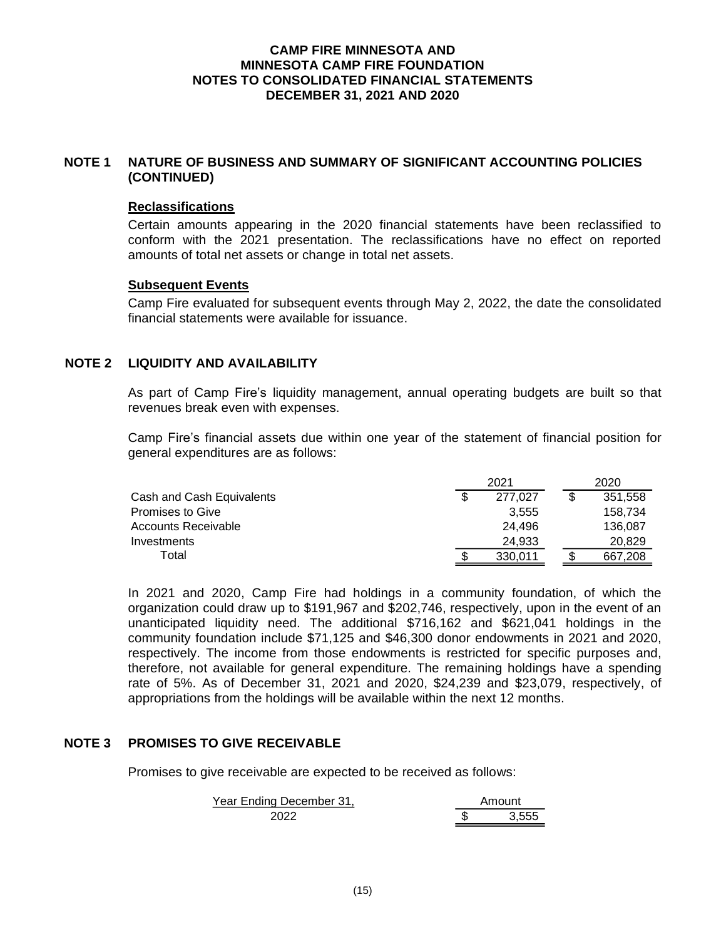### **NOTE 1 NATURE OF BUSINESS AND SUMMARY OF SIGNIFICANT ACCOUNTING POLICIES (CONTINUED)**

### **Reclassifications**

Certain amounts appearing in the 2020 financial statements have been reclassified to conform with the 2021 presentation. The reclassifications have no effect on reported amounts of total net assets or change in total net assets.

# **Subsequent Events**

Camp Fire evaluated for subsequent events through May 2, 2022, the date the consolidated financial statements were available for issuance.

# **NOTE 2 LIQUIDITY AND AVAILABILITY**

As part of Camp Fire's liquidity management, annual operating budgets are built so that revenues break even with expenses.

Camp Fire's financial assets due within one year of the statement of financial position for general expenditures are as follows:

|                           | 2021    |  |         |
|---------------------------|---------|--|---------|
| Cash and Cash Equivalents | 277.027 |  | 351.558 |
| <b>Promises to Give</b>   | 3.555   |  | 158.734 |
| Accounts Receivable       | 24.496  |  | 136.087 |
| Investments               | 24.933  |  | 20.829  |
| Total                     | 330.011 |  | 667.208 |

In 2021 and 2020, Camp Fire had holdings in a community foundation, of which the organization could draw up to \$191,967 and \$202,746, respectively, upon in the event of an unanticipated liquidity need. The additional \$716,162 and \$621,041 holdings in the community foundation include \$71,125 and \$46,300 donor endowments in 2021 and 2020, respectively. The income from those endowments is restricted for specific purposes and, therefore, not available for general expenditure. The remaining holdings have a spending rate of 5%. As of December 31, 2021 and 2020, \$24,239 and \$23,079, respectively, of appropriations from the holdings will be available within the next 12 months.

# **NOTE 3 PROMISES TO GIVE RECEIVABLE**

Promises to give receivable are expected to be received as follows:

| Year Ending December 31. | Amount |
|--------------------------|--------|
| 2022                     | 3.555  |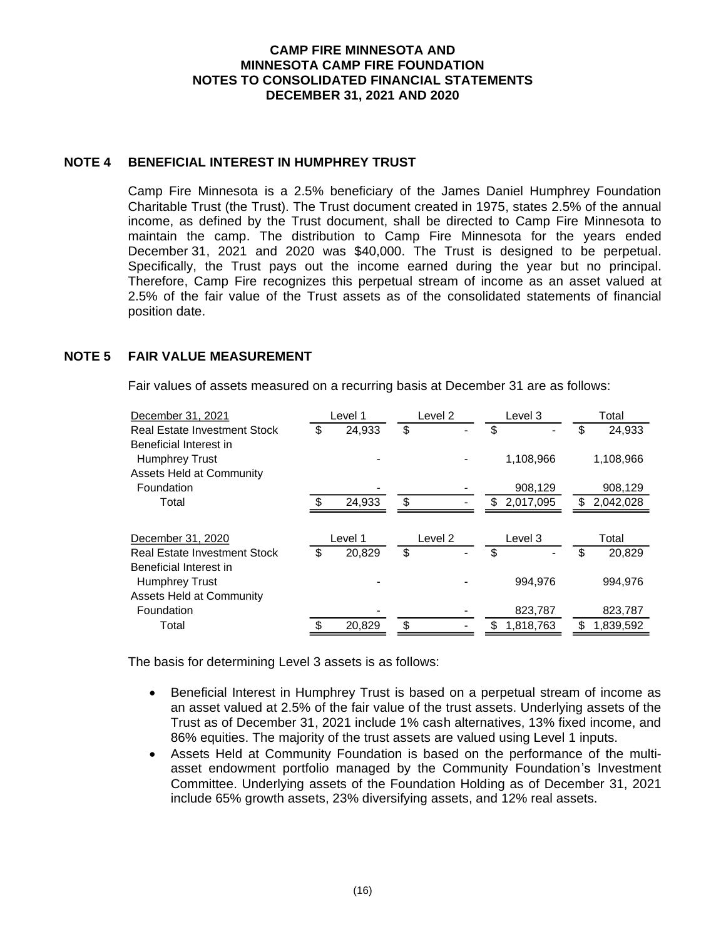# **NOTE 4 BENEFICIAL INTEREST IN HUMPHREY TRUST**

Camp Fire Minnesota is a 2.5% beneficiary of the James Daniel Humphrey Foundation Charitable Trust (the Trust). The Trust document created in 1975, states 2.5% of the annual income, as defined by the Trust document, shall be directed to Camp Fire Minnesota to maintain the camp. The distribution to Camp Fire Minnesota for the years ended December 31, 2021 and 2020 was \$40,000. The Trust is designed to be perpetual. Specifically, the Trust pays out the income earned during the year but no principal. Therefore, Camp Fire recognizes this perpetual stream of income as an asset valued at 2.5% of the fair value of the Trust assets as of the consolidated statements of financial position date.

# **NOTE 5 FAIR VALUE MEASUREMENT**

Fair values of assets measured on a recurring basis at December 31 are as follows:

| December 31, 2021                   | Level 1      | Level 2 | Level 3         |    | Total     |
|-------------------------------------|--------------|---------|-----------------|----|-----------|
| <b>Real Estate Investment Stock</b> | \$<br>24,933 | \$      | \$              | \$ | 24,933    |
| Beneficial Interest in              |              |         |                 |    |           |
| <b>Humphrey Trust</b>               |              |         | 1,108,966       |    | 1,108,966 |
| <b>Assets Held at Community</b>     |              |         |                 |    |           |
| Foundation                          |              |         | 908,129         |    | 908,129   |
| Total                               | 24,933       | \$      | \$<br>2,017,095 | \$ | 2,042,028 |
|                                     |              |         |                 |    |           |
| December 31, 2020                   | Level 1      | Level 2 | Level 3         |    | Total     |
| <b>Real Estate Investment Stock</b> | \$<br>20,829 | \$      | \$              | S  | 20.829    |
| Beneficial Interest in              |              |         |                 |    |           |
| <b>Humphrey Trust</b>               |              |         | 994,976         |    | 994,976   |
| <b>Assets Held at Community</b>     |              |         |                 |    |           |
| Foundation                          |              |         | 823,787         |    | 823,787   |
| Total                               | \$<br>20,829 | \$      | \$<br>1,818,763 | \$ | 1,839,592 |

The basis for determining Level 3 assets is as follows:

- Beneficial Interest in Humphrey Trust is based on a perpetual stream of income as an asset valued at 2.5% of the fair value of the trust assets. Underlying assets of the Trust as of December 31, 2021 include 1% cash alternatives, 13% fixed income, and 86% equities. The majority of the trust assets are valued using Level 1 inputs.
- Assets Held at Community Foundation is based on the performance of the multiasset endowment portfolio managed by the Community Foundation's Investment Committee. Underlying assets of the Foundation Holding as of December 31, 2021 include 65% growth assets, 23% diversifying assets, and 12% real assets.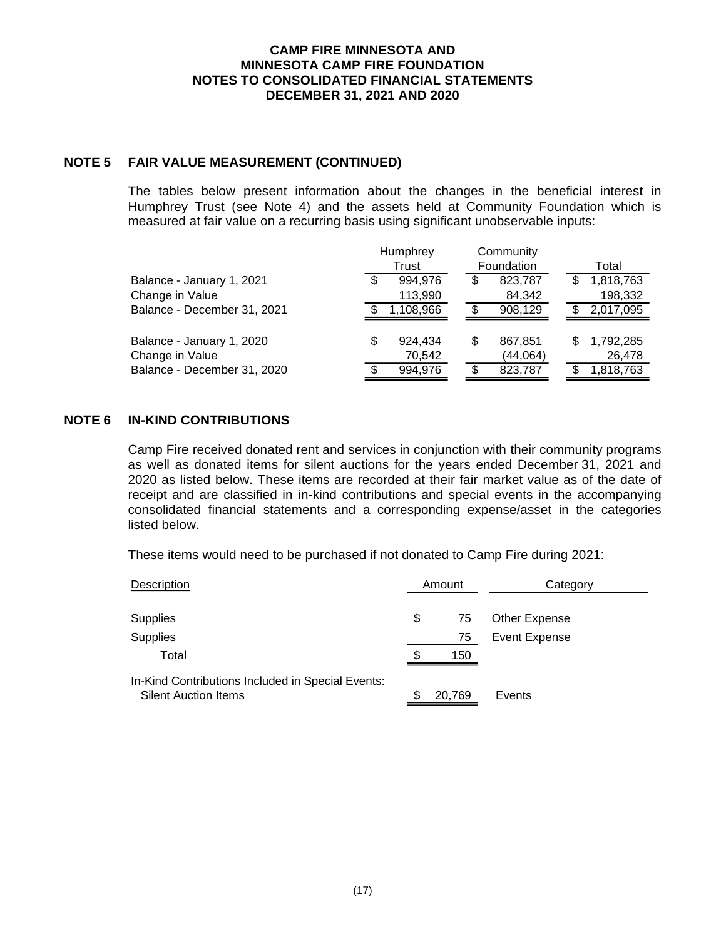# **NOTE 5 FAIR VALUE MEASUREMENT (CONTINUED)**

The tables below present information about the changes in the beneficial interest in Humphrey Trust (see Note 4) and the assets held at Community Foundation which is measured at fair value on a recurring basis using significant unobservable inputs:

|                             | Humphrey |           |    | Community  |   |           |
|-----------------------------|----------|-----------|----|------------|---|-----------|
|                             | Trust    |           |    | Foundation |   | Total     |
| Balance - January 1, 2021   |          | 994,976   | \$ | 823,787    | S | 1,818,763 |
| Change in Value             |          | 113,990   |    | 84,342     |   | 198,332   |
| Balance - December 31, 2021 |          | 1,108,966 | S  | 908,129    |   | 2,017,095 |
|                             |          |           |    |            |   |           |
| Balance - January 1, 2020   | \$       | 924.434   | S  | 867,851    | S | 1,792,285 |
| Change in Value             |          | 70,542    |    | (44,064)   |   | 26,478    |
| Balance - December 31, 2020 |          | 994,976   |    | 823,787    |   | 1,818,763 |

### **NOTE 6 IN-KIND CONTRIBUTIONS**

Camp Fire received donated rent and services in conjunction with their community programs as well as donated items for silent auctions for the years ended December 31, 2021 and 2020 as listed below. These items are recorded at their fair market value as of the date of receipt and are classified in in-kind contributions and special events in the accompanying consolidated financial statements and a corresponding expense/asset in the categories listed below.

These items would need to be purchased if not donated to Camp Fire during 2021:

| Description                                                                      |    | Amount | Category      |
|----------------------------------------------------------------------------------|----|--------|---------------|
| <b>Supplies</b>                                                                  | \$ | 75     | Other Expense |
| <b>Supplies</b>                                                                  |    | 75     | Event Expense |
| Total                                                                            | S  | 150    |               |
| In-Kind Contributions Included in Special Events:<br><b>Silent Auction Items</b> | S  | 20,769 | Events        |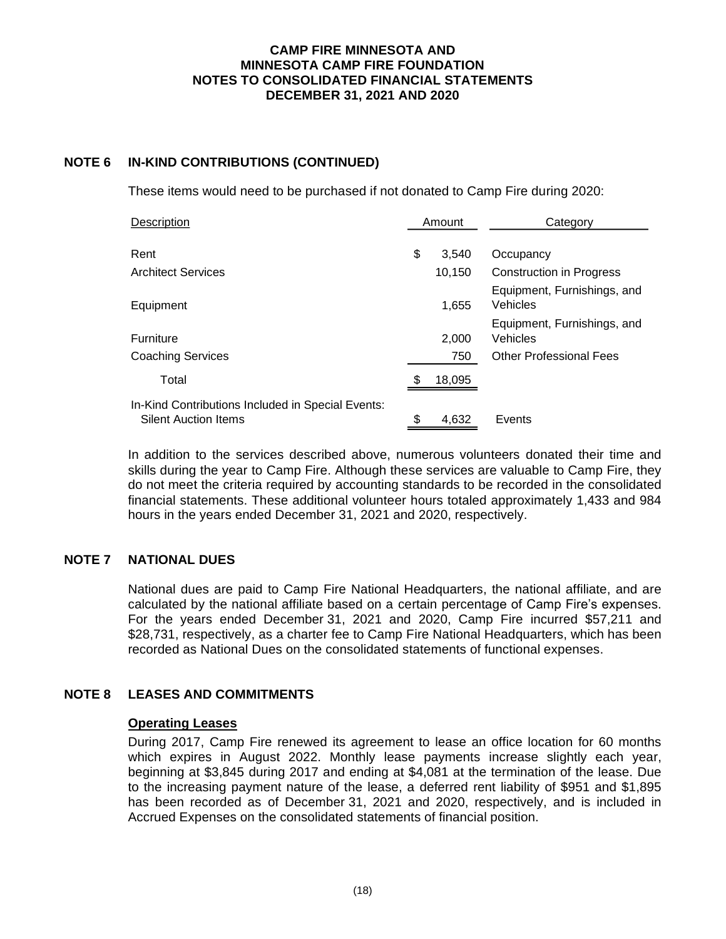# **NOTE 6 IN-KIND CONTRIBUTIONS (CONTINUED)**

These items would need to be purchased if not donated to Camp Fire during 2020:

| Description                                                                      | Amount      | Category                                |  |  |  |
|----------------------------------------------------------------------------------|-------------|-----------------------------------------|--|--|--|
| Rent                                                                             | \$<br>3,540 | Occupancy                               |  |  |  |
|                                                                                  |             |                                         |  |  |  |
| Architect Services                                                               | 10,150      | <b>Construction in Progress</b>         |  |  |  |
| Equipment                                                                        | 1,655       | Equipment, Furnishings, and<br>Vehicles |  |  |  |
| Furniture                                                                        | 2,000       | Equipment, Furnishings, and<br>Vehicles |  |  |  |
| Coaching Services                                                                | 750         | <b>Other Professional Fees</b>          |  |  |  |
| Total                                                                            | 18,095      |                                         |  |  |  |
| In-Kind Contributions Included in Special Events:<br><b>Silent Auction Items</b> | \$<br>4.632 | Events                                  |  |  |  |

In addition to the services described above, numerous volunteers donated their time and skills during the year to Camp Fire. Although these services are valuable to Camp Fire, they do not meet the criteria required by accounting standards to be recorded in the consolidated financial statements. These additional volunteer hours totaled approximately 1,433 and 984 hours in the years ended December 31, 2021 and 2020, respectively.

# **NOTE 7 NATIONAL DUES**

National dues are paid to Camp Fire National Headquarters, the national affiliate, and are calculated by the national affiliate based on a certain percentage of Camp Fire's expenses. For the years ended December 31, 2021 and 2020, Camp Fire incurred \$57,211 and \$28,731, respectively, as a charter fee to Camp Fire National Headquarters, which has been recorded as National Dues on the consolidated statements of functional expenses.

# **NOTE 8 LEASES AND COMMITMENTS**

### **Operating Leases**

During 2017, Camp Fire renewed its agreement to lease an office location for 60 months which expires in August 2022. Monthly lease payments increase slightly each year, beginning at \$3,845 during 2017 and ending at \$4,081 at the termination of the lease. Due to the increasing payment nature of the lease, a deferred rent liability of \$951 and \$1,895 has been recorded as of December 31, 2021 and 2020, respectively, and is included in Accrued Expenses on the consolidated statements of financial position.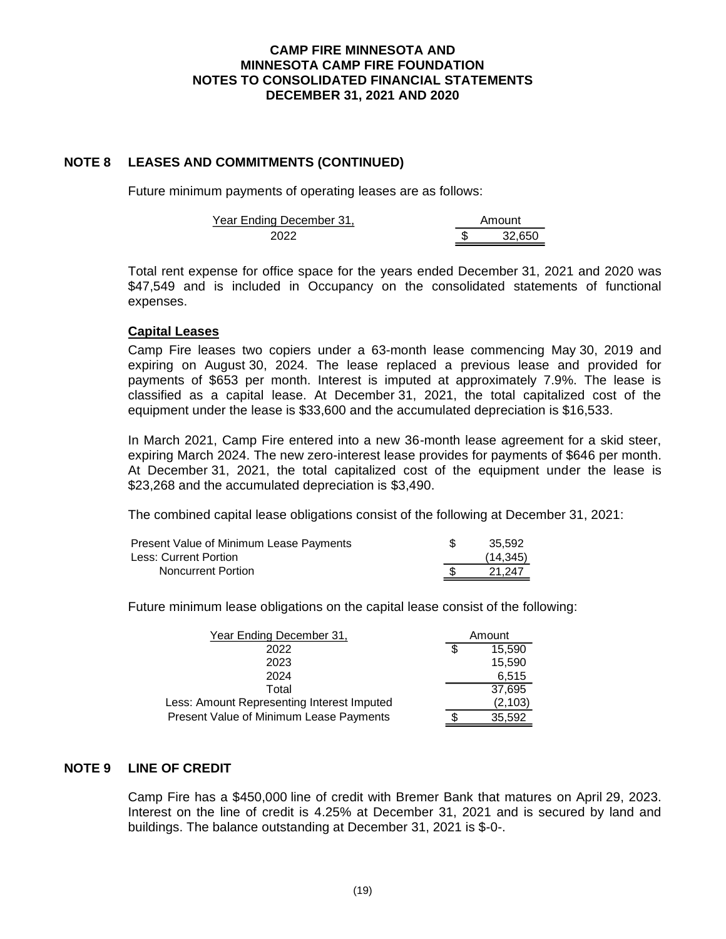# **NOTE 8 LEASES AND COMMITMENTS (CONTINUED)**

Future minimum payments of operating leases are as follows:

| Year Ending December 31, | Amount |
|--------------------------|--------|
| າ∩າາ                     | 32650  |

Total rent expense for office space for the years ended December 31, 2021 and 2020 was \$47,549 and is included in Occupancy on the consolidated statements of functional expenses.

# **Capital Leases**

Camp Fire leases two copiers under a 63-month lease commencing May 30, 2019 and expiring on August 30, 2024. The lease replaced a previous lease and provided for payments of \$653 per month. Interest is imputed at approximately 7.9%. The lease is classified as a capital lease. At December 31, 2021, the total capitalized cost of the equipment under the lease is \$33,600 and the accumulated depreciation is \$16,533.

In March 2021, Camp Fire entered into a new 36-month lease agreement for a skid steer, expiring March 2024. The new zero-interest lease provides for payments of \$646 per month. At December 31, 2021, the total capitalized cost of the equipment under the lease is \$23,268 and the accumulated depreciation is \$3,490.

The combined capital lease obligations consist of the following at December 31, 2021:

| Present Value of Minimum Lease Payments | 35.592    |
|-----------------------------------------|-----------|
| Less: Current Portion                   | (14, 345) |
| Noncurrent Portion                      | 21.247    |

Future minimum lease obligations on the capital lease consist of the following:

| Year Ending December 31,                   | Amount   |
|--------------------------------------------|----------|
| 2022                                       | 15.590   |
| 2023                                       | 15,590   |
| 2024                                       | 6,515    |
| Total                                      | 37,695   |
| Less: Amount Representing Interest Imputed | (2, 103) |
| Present Value of Minimum Lease Payments    | 35.592   |

# **NOTE 9 LINE OF CREDIT**

Camp Fire has a \$450,000 line of credit with Bremer Bank that matures on April 29, 2023. Interest on the line of credit is 4.25% at December 31, 2021 and is secured by land and buildings. The balance outstanding at December 31, 2021 is \$-0-.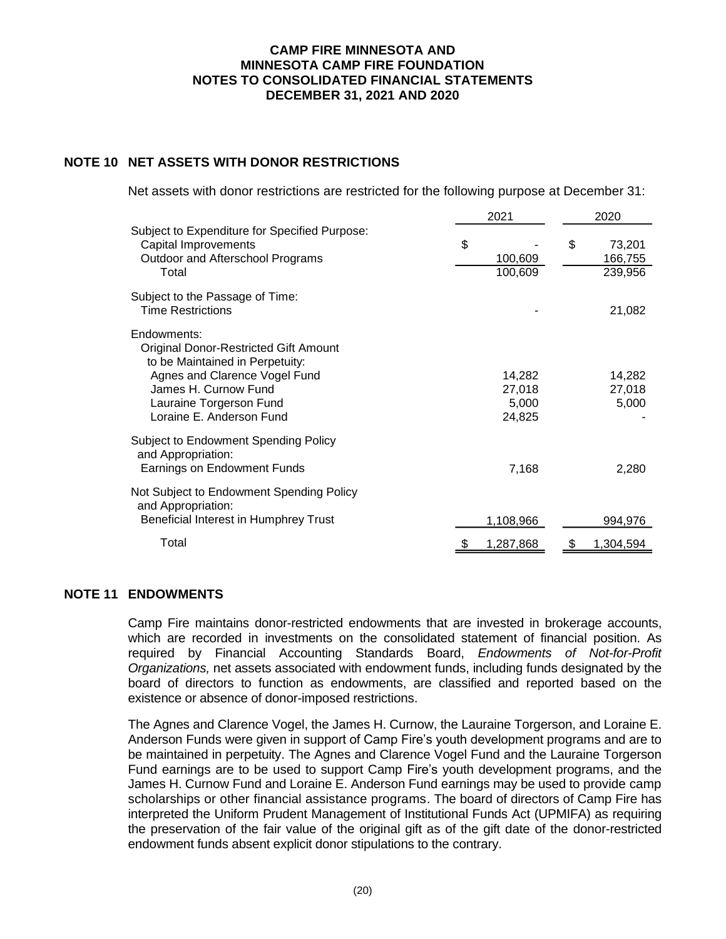# **NOTE 10 NET ASSETS WITH DONOR RESTRICTIONS**

Net assets with donor restrictions are restricted for the following purpose at December 31:

|                                                                                                                                                                                                                | 2021                                | 2020                               |  |  |
|----------------------------------------------------------------------------------------------------------------------------------------------------------------------------------------------------------------|-------------------------------------|------------------------------------|--|--|
| Subject to Expenditure for Specified Purpose:<br>Capital Improvements<br>Outdoor and Afterschool Programs<br>Total                                                                                             | \$<br>100,609<br>100,609            | \$<br>73,201<br>166,755<br>239,956 |  |  |
| Subject to the Passage of Time:<br><b>Time Restrictions</b>                                                                                                                                                    |                                     | 21,082                             |  |  |
| Endowments:<br><b>Original Donor-Restricted Gift Amount</b><br>to be Maintained in Perpetuity:<br>Agnes and Clarence Vogel Fund<br>James H. Curnow Fund<br>Lauraine Torgerson Fund<br>Loraine E. Anderson Fund | 14,282<br>27,018<br>5,000<br>24,825 | 14,282<br>27,018<br>5,000          |  |  |
| <b>Subject to Endowment Spending Policy</b><br>and Appropriation:<br>Earnings on Endowment Funds                                                                                                               | 7,168                               | 2,280                              |  |  |
| Not Subject to Endowment Spending Policy<br>and Appropriation:<br>Beneficial Interest in Humphrey Trust                                                                                                        | 1,108,966                           | 994,976                            |  |  |
| Total                                                                                                                                                                                                          | 1,287,868                           | 1,304,594                          |  |  |

# **NOTE 11 ENDOWMENTS**

Camp Fire maintains donor-restricted endowments that are invested in brokerage accounts, which are recorded in investments on the consolidated statement of financial position. As required by Financial Accounting Standards Board, *Endowments of Not-for-Profit Organizations,* net assets associated with endowment funds, including funds designated by the board of directors to function as endowments, are classified and reported based on the existence or absence of donor-imposed restrictions.

The Agnes and Clarence Vogel, the James H. Curnow, the Lauraine Torgerson, and Loraine E. Anderson Funds were given in support of Camp Fire's youth development programs and are to be maintained in perpetuity. The Agnes and Clarence Vogel Fund and the Lauraine Torgerson Fund earnings are to be used to support Camp Fire's youth development programs, and the James H. Curnow Fund and Loraine E. Anderson Fund earnings may be used to provide camp scholarships or other financial assistance programs. The board of directors of Camp Fire has interpreted the Uniform Prudent Management of Institutional Funds Act (UPMIFA) as requiring the preservation of the fair value of the original gift as of the gift date of the donor-restricted endowment funds absent explicit donor stipulations to the contrary.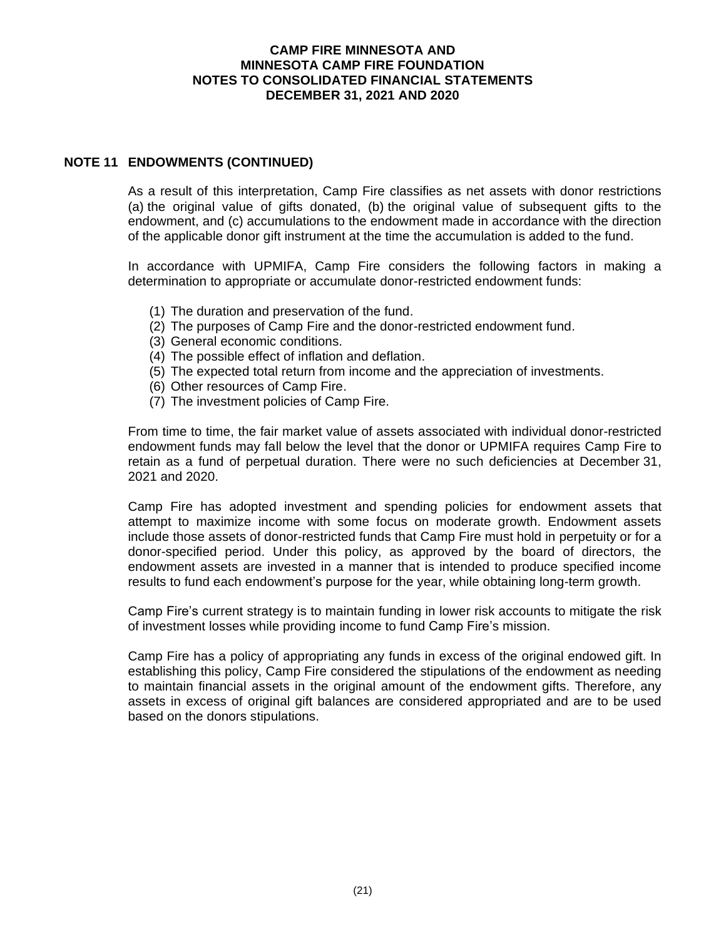# **NOTE 11 ENDOWMENTS (CONTINUED)**

As a result of this interpretation, Camp Fire classifies as net assets with donor restrictions (a) the original value of gifts donated, (b) the original value of subsequent gifts to the endowment, and (c) accumulations to the endowment made in accordance with the direction of the applicable donor gift instrument at the time the accumulation is added to the fund.

In accordance with UPMIFA, Camp Fire considers the following factors in making a determination to appropriate or accumulate donor-restricted endowment funds:

- (1) The duration and preservation of the fund.
- (2) The purposes of Camp Fire and the donor-restricted endowment fund.
- (3) General economic conditions.
- (4) The possible effect of inflation and deflation.
- (5) The expected total return from income and the appreciation of investments.
- (6) Other resources of Camp Fire.
- (7) The investment policies of Camp Fire.

From time to time, the fair market value of assets associated with individual donor-restricted endowment funds may fall below the level that the donor or UPMIFA requires Camp Fire to retain as a fund of perpetual duration. There were no such deficiencies at December 31, 2021 and 2020.

Camp Fire has adopted investment and spending policies for endowment assets that attempt to maximize income with some focus on moderate growth. Endowment assets include those assets of donor-restricted funds that Camp Fire must hold in perpetuity or for a donor-specified period. Under this policy, as approved by the board of directors, the endowment assets are invested in a manner that is intended to produce specified income results to fund each endowment's purpose for the year, while obtaining long-term growth.

Camp Fire's current strategy is to maintain funding in lower risk accounts to mitigate the risk of investment losses while providing income to fund Camp Fire's mission.

Camp Fire has a policy of appropriating any funds in excess of the original endowed gift. In establishing this policy, Camp Fire considered the stipulations of the endowment as needing to maintain financial assets in the original amount of the endowment gifts. Therefore, any assets in excess of original gift balances are considered appropriated and are to be used based on the donors stipulations.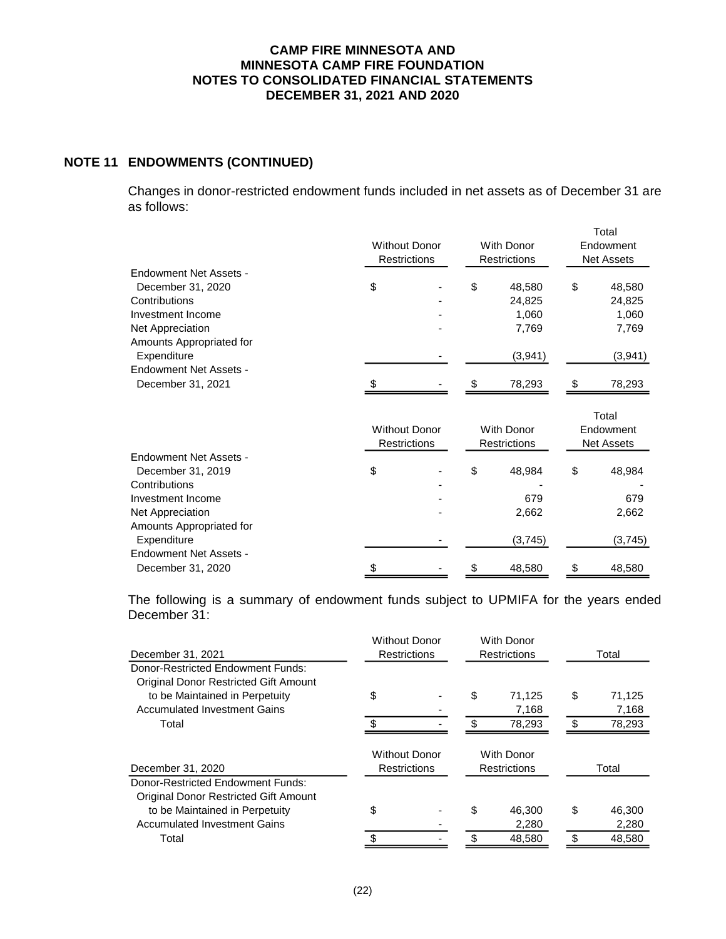# **NOTE 11 ENDOWMENTS (CONTINUED)**

Changes in donor-restricted endowment funds included in net assets as of December 31 are as follows:

|                          | <b>Without Donor</b><br>Restrictions |     |         | Total<br>Endowment<br><b>Net Assets</b> |         |  |
|--------------------------|--------------------------------------|-----|---------|-----------------------------------------|---------|--|
| Endowment Net Assets -   |                                      |     |         |                                         |         |  |
| December 31, 2020        | \$                                   | \$  | 48.580  | \$                                      | 48,580  |  |
| Contributions            |                                      |     | 24,825  |                                         | 24,825  |  |
| Investment Income        |                                      |     | 1.060   |                                         | 1,060   |  |
| Net Appreciation         |                                      |     | 7,769   |                                         | 7,769   |  |
| Amounts Appropriated for |                                      |     |         |                                         |         |  |
| Expenditure              |                                      |     | (3,941) |                                         | (3,941) |  |
| Endowment Net Assets -   |                                      |     |         |                                         |         |  |
| December 31, 2021        | \$                                   | \$. | 78,293  | £.                                      | 78,293  |  |

|                          |                     |                          |    |                     |                   | Total   |  |
|--------------------------|---------------------|--------------------------|----|---------------------|-------------------|---------|--|
|                          |                     | <b>Without Donor</b>     |    |                     | Endowment         |         |  |
|                          | <b>Restrictions</b> |                          |    | <b>Restrictions</b> | <b>Net Assets</b> |         |  |
| Endowment Net Assets -   |                     |                          |    |                     |                   |         |  |
| December 31, 2019        | \$                  | $\overline{\phantom{a}}$ | \$ | 48,984              | \$                | 48,984  |  |
| Contributions            |                     | ٠                        |    |                     |                   |         |  |
| Investment Income        |                     | $\overline{\phantom{0}}$ |    | 679                 |                   | 679     |  |
| Net Appreciation         |                     | $\overline{\phantom{0}}$ |    | 2,662               |                   | 2,662   |  |
| Amounts Appropriated for |                     |                          |    |                     |                   |         |  |
| Expenditure              |                     |                          |    | (3,745)             |                   | (3,745) |  |
| Endowment Net Assets -   |                     |                          |    |                     |                   |         |  |
| December 31, 2020        | \$                  | ٠                        | \$ | 48.580              | \$                | 48,580  |  |

The following is a summary of endowment funds subject to UPMIFA for the years ended December 31:

| December 31, 2021                                                          | <b>Without Donor</b><br><b>With Donor</b><br><b>Restrictions</b><br><b>Restrictions</b> |  |    | Total                             |    |        |
|----------------------------------------------------------------------------|-----------------------------------------------------------------------------------------|--|----|-----------------------------------|----|--------|
| Donor-Restricted Endowment Funds:<br>Original Donor Restricted Gift Amount |                                                                                         |  |    |                                   |    |        |
| to be Maintained in Perpetuity                                             | \$                                                                                      |  | \$ | 71.125                            | \$ | 71,125 |
| <b>Accumulated Investment Gains</b>                                        |                                                                                         |  |    | 7,168                             |    | 7,168  |
| Total                                                                      | ς.                                                                                      |  |    | 78,293                            | \$ | 78,293 |
| December 31, 2020                                                          | <b>Without Donor</b><br><b>Restrictions</b>                                             |  |    | With Donor<br><b>Restrictions</b> |    | Total  |
| Donor-Restricted Endowment Funds:                                          |                                                                                         |  |    |                                   |    |        |
| Original Donor Restricted Gift Amount                                      |                                                                                         |  |    |                                   |    |        |
| to be Maintained in Perpetuity                                             | \$                                                                                      |  | \$ | 46,300                            | \$ | 46,300 |
| <b>Accumulated Investment Gains</b>                                        |                                                                                         |  |    | 2,280                             |    | 2,280  |
| Total                                                                      |                                                                                         |  |    | 48,580                            | \$ | 48,580 |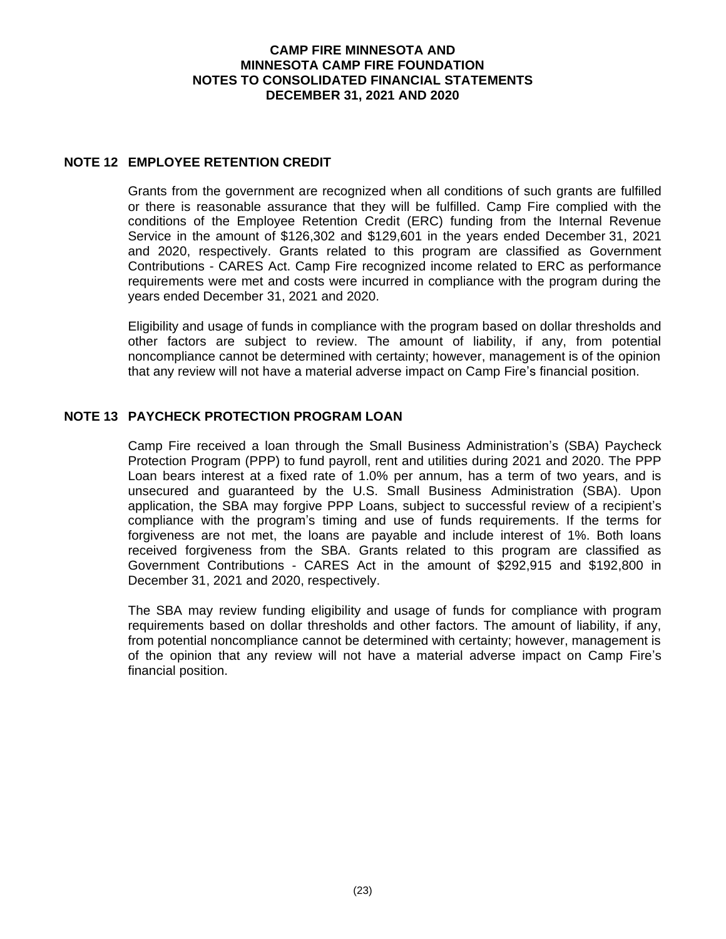# **NOTE 12 EMPLOYEE RETENTION CREDIT**

Grants from the government are recognized when all conditions of such grants are fulfilled or there is reasonable assurance that they will be fulfilled. Camp Fire complied with the conditions of the Employee Retention Credit (ERC) funding from the Internal Revenue Service in the amount of \$126,302 and \$129,601 in the years ended December 31, 2021 and 2020, respectively. Grants related to this program are classified as Government Contributions - CARES Act. Camp Fire recognized income related to ERC as performance requirements were met and costs were incurred in compliance with the program during the years ended December 31, 2021 and 2020.

Eligibility and usage of funds in compliance with the program based on dollar thresholds and other factors are subject to review. The amount of liability, if any, from potential noncompliance cannot be determined with certainty; however, management is of the opinion that any review will not have a material adverse impact on Camp Fire's financial position.

# **NOTE 13 PAYCHECK PROTECTION PROGRAM LOAN**

Camp Fire received a loan through the Small Business Administration's (SBA) Paycheck Protection Program (PPP) to fund payroll, rent and utilities during 2021 and 2020. The PPP Loan bears interest at a fixed rate of 1.0% per annum, has a term of two years, and is unsecured and guaranteed by the U.S. Small Business Administration (SBA). Upon application, the SBA may forgive PPP Loans, subject to successful review of a recipient's compliance with the program's timing and use of funds requirements. If the terms for forgiveness are not met, the loans are payable and include interest of 1%. Both loans received forgiveness from the SBA. Grants related to this program are classified as Government Contributions - CARES Act in the amount of \$292,915 and \$192,800 in December 31, 2021 and 2020, respectively.

The SBA may review funding eligibility and usage of funds for compliance with program requirements based on dollar thresholds and other factors. The amount of liability, if any, from potential noncompliance cannot be determined with certainty; however, management is of the opinion that any review will not have a material adverse impact on Camp Fire's financial position.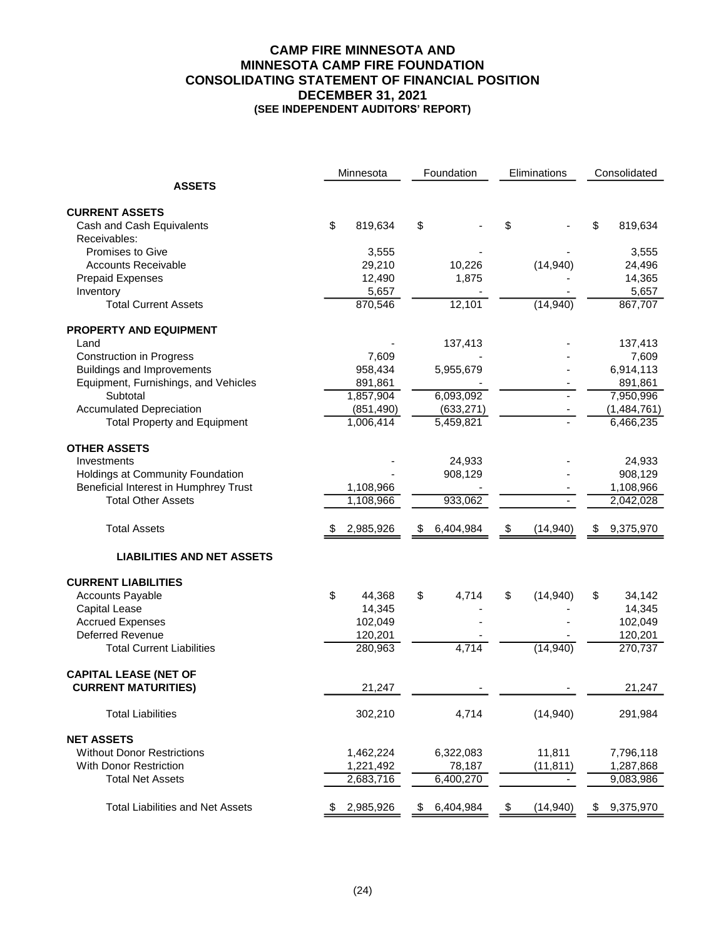# **CAMP FIRE MINNESOTA AND MINNESOTA CAMP FIRE FOUNDATION CONSOLIDATING STATEMENT OF FINANCIAL POSITION DECEMBER 31, 2021 (SEE INDEPENDENT AUDITORS' REPORT)**

|                                           | Foundation<br>Eliminations<br>Minnesota |            |                 | Consolidated |           |    |             |
|-------------------------------------------|-----------------------------------------|------------|-----------------|--------------|-----------|----|-------------|
| <b>ASSETS</b>                             |                                         |            |                 |              |           |    |             |
| <b>CURRENT ASSETS</b>                     |                                         |            |                 |              |           |    |             |
| Cash and Cash Equivalents<br>Receivables: | \$                                      | 819,634    | \$              | \$           |           | \$ | 819,634     |
| Promises to Give                          |                                         | 3,555      |                 |              |           |    | 3,555       |
| <b>Accounts Receivable</b>                |                                         | 29,210     | 10,226          |              | (14, 940) |    | 24,496      |
| <b>Prepaid Expenses</b>                   |                                         | 12,490     | 1,875           |              |           |    | 14,365      |
| Inventory                                 |                                         | 5,657      |                 |              |           |    | 5,657       |
| <b>Total Current Assets</b>               |                                         | 870,546    | 12,101          |              | (14, 940) |    | 867,707     |
| <b>PROPERTY AND EQUIPMENT</b>             |                                         |            |                 |              |           |    |             |
| Land                                      |                                         |            | 137,413         |              |           |    | 137,413     |
| <b>Construction in Progress</b>           |                                         | 7,609      |                 |              |           |    | 7,609       |
| <b>Buildings and Improvements</b>         |                                         | 958,434    | 5,955,679       |              |           |    | 6,914,113   |
| Equipment, Furnishings, and Vehicles      |                                         | 891,861    |                 |              |           |    | 891,861     |
| Subtotal                                  |                                         | 1,857,904  | 6,093,092       |              |           |    | 7,950,996   |
| <b>Accumulated Depreciation</b>           |                                         | (851, 490) | (633, 271)      |              |           |    | (1,484,761) |
| <b>Total Property and Equipment</b>       |                                         | 1,006,414  | 5,459,821       |              |           |    | 6,466,235   |
| <b>OTHER ASSETS</b>                       |                                         |            |                 |              |           |    |             |
| Investments                               |                                         |            | 24,933          |              |           |    | 24,933      |
| Holdings at Community Foundation          |                                         |            | 908,129         |              |           |    | 908,129     |
| Beneficial Interest in Humphrey Trust     |                                         | 1,108,966  |                 |              |           |    | 1,108,966   |
| <b>Total Other Assets</b>                 |                                         | 1,108,966  | 933,062         |              |           |    | 2,042,028   |
| <b>Total Assets</b>                       |                                         | 2,985,926  | \$<br>6,404,984 | \$           | (14, 940) | S. | 9,375,970   |
| <b>LIABILITIES AND NET ASSETS</b>         |                                         |            |                 |              |           |    |             |
| <b>CURRENT LIABILITIES</b>                |                                         |            |                 |              |           |    |             |
| <b>Accounts Payable</b>                   | \$                                      | 44,368     | \$<br>4,714     | \$           | (14, 940) | \$ | 34,142      |
| <b>Capital Lease</b>                      |                                         | 14,345     |                 |              |           |    | 14,345      |
| <b>Accrued Expenses</b>                   |                                         | 102,049    |                 |              |           |    | 102,049     |
| Deferred Revenue                          |                                         | 120,201    |                 |              |           |    | 120,201     |
| <b>Total Current Liabilities</b>          |                                         | 280,963    | 4,714           |              | (14, 940) |    | 270,737     |
| <b>CAPITAL LEASE (NET OF</b>              |                                         |            |                 |              |           |    |             |
| <b>CURRENT MATURITIES)</b>                |                                         | 21,247     |                 |              |           |    | 21,247      |
| <b>Total Liabilities</b>                  |                                         | 302,210    | 4,714           |              | (14, 940) |    | 291,984     |
| <b>NET ASSETS</b>                         |                                         |            |                 |              |           |    |             |
| <b>Without Donor Restrictions</b>         |                                         | 1,462,224  | 6,322,083       |              | 11,811    |    | 7,796,118   |
| <b>With Donor Restriction</b>             |                                         | 1,221,492  | 78,187          |              | (11, 811) |    | 1,287,868   |
| <b>Total Net Assets</b>                   |                                         | 2,683,716  | 6,400,270       |              |           |    | 9,083,986   |
| <b>Total Liabilities and Net Assets</b>   | \$                                      | 2,985,926  | \$<br>6,404,984 | \$           | (14, 940) | \$ | 9,375,970   |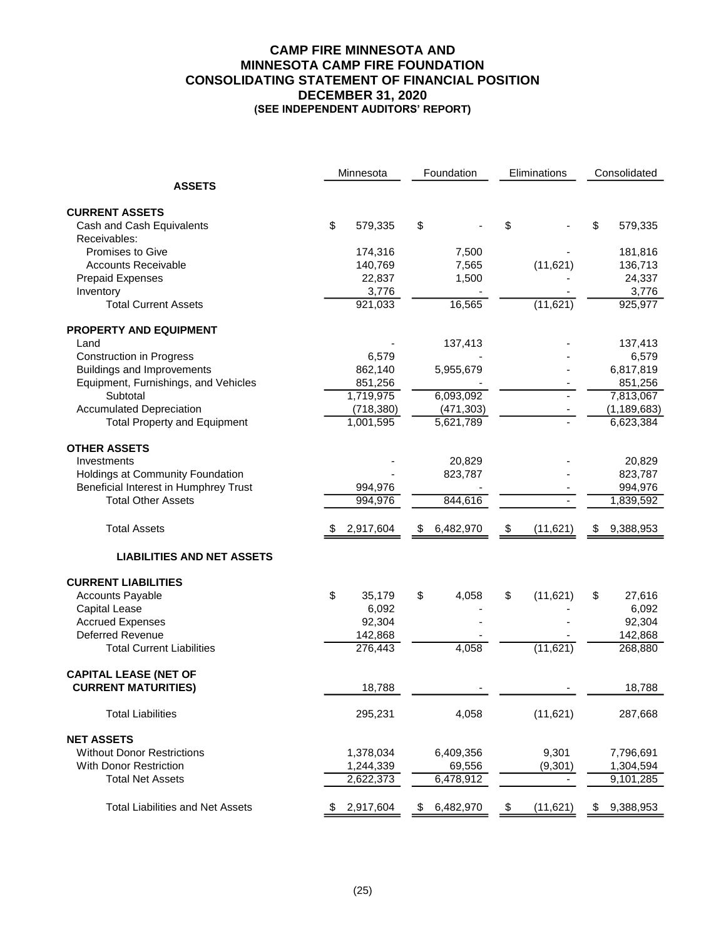### **CAMP FIRE MINNESOTA AND MINNESOTA CAMP FIRE FOUNDATION CONSOLIDATING STATEMENT OF FINANCIAL POSITION DECEMBER 31, 2020 (SEE INDEPENDENT AUDITORS' REPORT)**

|                                         | Minnesota       | Foundation      | Eliminations    | Consolidated    |
|-----------------------------------------|-----------------|-----------------|-----------------|-----------------|
| <b>ASSETS</b>                           |                 |                 |                 |                 |
| <b>CURRENT ASSETS</b>                   |                 |                 |                 |                 |
| Cash and Cash Equivalents               | \$<br>579,335   | \$              | \$              | \$<br>579,335   |
| Receivables:                            |                 |                 |                 |                 |
| Promises to Give                        | 174,316         | 7,500           |                 | 181,816         |
| <b>Accounts Receivable</b>              | 140,769         | 7,565           | (11, 621)       | 136,713         |
| <b>Prepaid Expenses</b>                 | 22,837          | 1,500           |                 | 24,337          |
| Inventory                               | 3,776           |                 |                 | 3,776           |
| <b>Total Current Assets</b>             | 921,033         | 16,565          | (11, 621)       | 925,977         |
| <b>PROPERTY AND EQUIPMENT</b>           |                 |                 |                 |                 |
| Land                                    |                 | 137,413         |                 | 137,413         |
| <b>Construction in Progress</b>         | 6,579           |                 |                 | 6,579           |
| <b>Buildings and Improvements</b>       | 862,140         | 5,955,679       |                 | 6,817,819       |
| Equipment, Furnishings, and Vehicles    | 851,256         |                 |                 | 851,256         |
| Subtotal                                | 1,719,975       | 6,093,092       |                 | 7,813,067       |
| <b>Accumulated Depreciation</b>         | (718, 380)      | (471, 303)      |                 | (1, 189, 683)   |
| <b>Total Property and Equipment</b>     | 1,001,595       | 5,621,789       |                 | 6,623,384       |
| <b>OTHER ASSETS</b>                     |                 |                 |                 |                 |
| Investments                             |                 | 20,829          |                 | 20,829          |
| Holdings at Community Foundation        |                 | 823,787         |                 | 823,787         |
| Beneficial Interest in Humphrey Trust   | 994,976         |                 |                 | 994,976         |
| <b>Total Other Assets</b>               | 994,976         | 844,616         |                 | 1,839,592       |
|                                         |                 |                 |                 |                 |
| <b>Total Assets</b>                     | 2,917,604       | \$<br>6,482,970 | \$<br>(11, 621) | \$<br>9,388,953 |
| <b>LIABILITIES AND NET ASSETS</b>       |                 |                 |                 |                 |
| <b>CURRENT LIABILITIES</b>              |                 |                 |                 |                 |
| <b>Accounts Payable</b>                 | \$<br>35,179    | \$<br>4,058     | \$<br>(11, 621) | \$<br>27,616    |
| <b>Capital Lease</b>                    | 6,092           |                 |                 | 6,092           |
| <b>Accrued Expenses</b>                 | 92,304          |                 |                 | 92,304          |
| <b>Deferred Revenue</b>                 | 142,868         |                 |                 | 142,868         |
| <b>Total Current Liabilities</b>        | 276,443         | 4,058           | (11, 621)       | 268,880         |
| <b>CAPITAL LEASE (NET OF</b>            |                 |                 |                 |                 |
| <b>CURRENT MATURITIES)</b>              | 18,788          |                 |                 | 18,788          |
| <b>Total Liabilities</b>                | 295,231         | 4,058           | (11,621)        | 287,668         |
| <b>NET ASSETS</b>                       |                 |                 |                 |                 |
| <b>Without Donor Restrictions</b>       | 1,378,034       | 6,409,356       | 9,301           | 7,796,691       |
| <b>With Donor Restriction</b>           | 1,244,339       | 69,556          | (9,301)         | 1,304,594       |
| <b>Total Net Assets</b>                 | 2,622,373       | 6,478,912       |                 | 9,101,285       |
|                                         |                 |                 |                 |                 |
| <b>Total Liabilities and Net Assets</b> | \$<br>2,917,604 | \$<br>6,482,970 | \$<br>(11, 621) | \$<br>9,388,953 |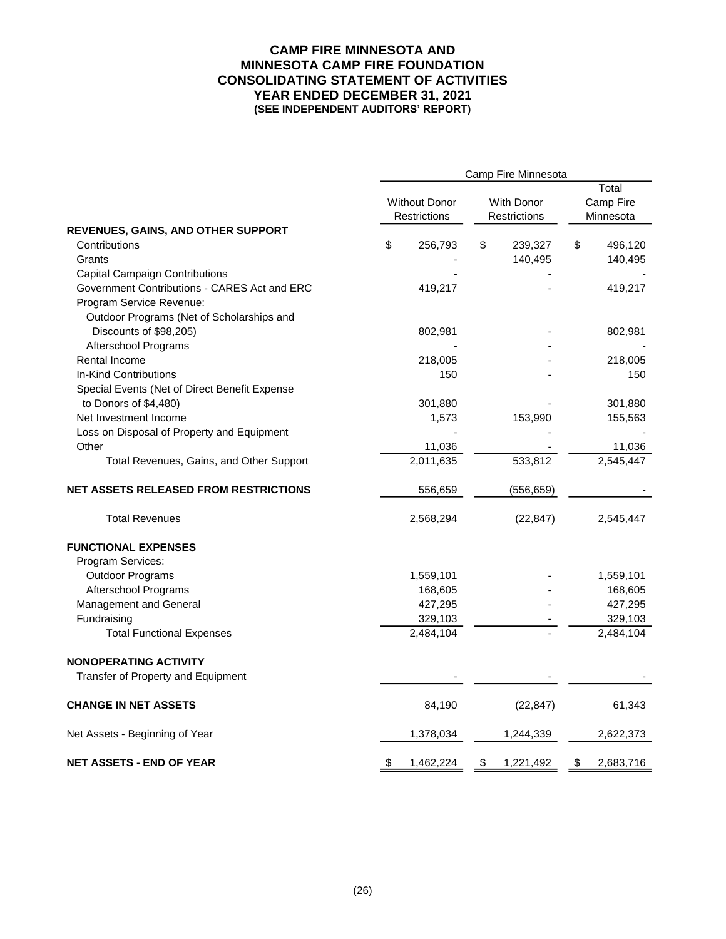#### **CAMP FIRE MINNESOTA AND MINNESOTA CAMP FIRE FOUNDATION CONSOLIDATING STATEMENT OF ACTIVITIES YEAR ENDED DECEMBER 31, 2021 (SEE INDEPENDENT AUDITORS' REPORT)**

|                                               | Camp Fire Minnesota |                              |    |            |           |                    |  |
|-----------------------------------------------|---------------------|------------------------------|----|------------|-----------|--------------------|--|
|                                               |                     | <b>Without Donor</b>         |    | With Donor |           | Total<br>Camp Fire |  |
|                                               |                     | Restrictions<br>Restrictions |    |            | Minnesota |                    |  |
| REVENUES, GAINS, AND OTHER SUPPORT            |                     |                              |    |            |           |                    |  |
| Contributions                                 | \$                  | 256,793                      | \$ | 239,327    | \$        | 496,120            |  |
| Grants                                        |                     |                              |    | 140,495    |           | 140,495            |  |
| <b>Capital Campaign Contributions</b>         |                     |                              |    |            |           |                    |  |
| Government Contributions - CARES Act and ERC  |                     | 419,217                      |    |            |           | 419,217            |  |
| Program Service Revenue:                      |                     |                              |    |            |           |                    |  |
| Outdoor Programs (Net of Scholarships and     |                     |                              |    |            |           |                    |  |
| Discounts of \$98,205)                        |                     | 802,981                      |    |            |           | 802,981            |  |
| Afterschool Programs                          |                     |                              |    |            |           |                    |  |
| Rental Income                                 |                     | 218,005                      |    |            |           | 218,005            |  |
| In-Kind Contributions                         |                     | 150                          |    |            |           | 150                |  |
| Special Events (Net of Direct Benefit Expense |                     |                              |    |            |           |                    |  |
| to Donors of \$4,480)                         |                     | 301,880                      |    |            |           | 301,880            |  |
| Net Investment Income                         |                     | 1,573                        |    | 153,990    |           | 155,563            |  |
| Loss on Disposal of Property and Equipment    |                     |                              |    |            |           |                    |  |
| Other                                         |                     | 11,036                       |    |            |           | 11,036             |  |
| Total Revenues, Gains, and Other Support      |                     | 2,011,635                    |    | 533,812    |           | 2,545,447          |  |
| <b>NET ASSETS RELEASED FROM RESTRICTIONS</b>  |                     | 556,659                      |    | (556, 659) |           |                    |  |
| <b>Total Revenues</b>                         |                     | 2,568,294                    |    | (22, 847)  |           | 2,545,447          |  |
| <b>FUNCTIONAL EXPENSES</b>                    |                     |                              |    |            |           |                    |  |
| Program Services:                             |                     |                              |    |            |           |                    |  |
| <b>Outdoor Programs</b>                       |                     | 1,559,101                    |    |            |           | 1,559,101          |  |
| Afterschool Programs                          |                     | 168,605                      |    |            |           | 168,605            |  |
| Management and General                        |                     | 427,295                      |    |            |           | 427,295            |  |
| Fundraising                                   |                     | 329,103                      |    |            |           | 329,103            |  |
| <b>Total Functional Expenses</b>              |                     | 2,484,104                    |    |            |           | 2,484,104          |  |
| <b>NONOPERATING ACTIVITY</b>                  |                     |                              |    |            |           |                    |  |
| Transfer of Property and Equipment            |                     |                              |    |            |           |                    |  |
| <b>CHANGE IN NET ASSETS</b>                   |                     | 84,190                       |    | (22, 847)  |           | 61,343             |  |
| Net Assets - Beginning of Year                |                     | 1,378,034                    |    | 1,244,339  |           | 2,622,373          |  |
| <b>NET ASSETS - END OF YEAR</b>               | \$                  | 1,462,224                    | \$ | 1,221,492  | \$        | 2,683,716          |  |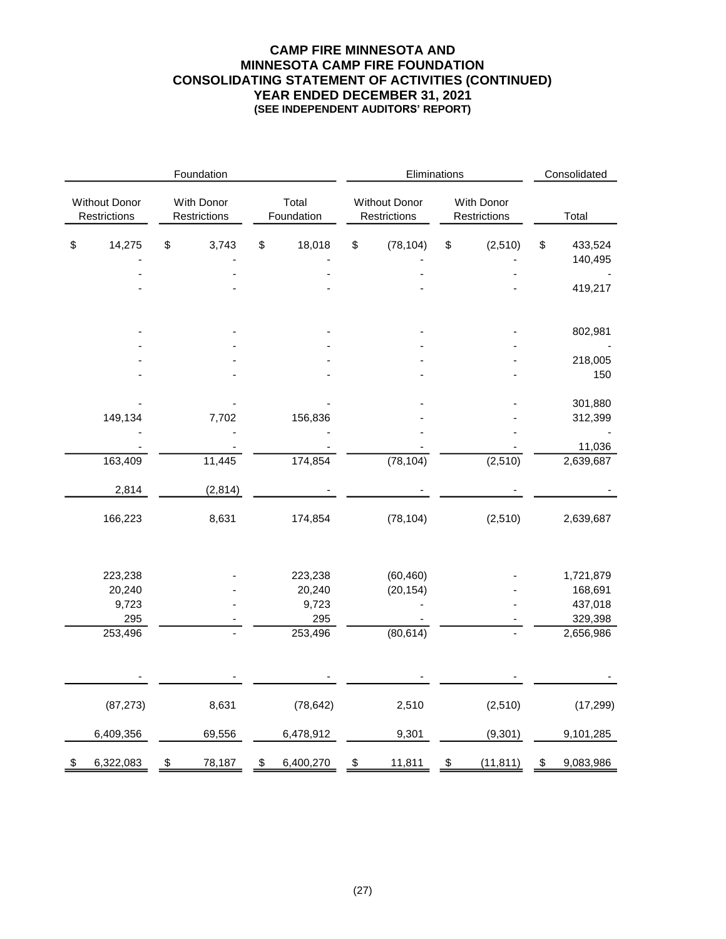### **CAMP FIRE MINNESOTA AND MINNESOTA CAMP FIRE FOUNDATION CONSOLIDATING STATEMENT OF ACTIVITIES (CONTINUED) YEAR ENDED DECEMBER 31, 2021 (SEE INDEPENDENT AUDITORS' REPORT)**

| Foundation                    |                 |                            |         |                           |                 | Eliminations                         |           |                            |           |    | Consolidated       |  |
|-------------------------------|-----------------|----------------------------|---------|---------------------------|-----------------|--------------------------------------|-----------|----------------------------|-----------|----|--------------------|--|
| Without Donor<br>Restrictions |                 | With Donor<br>Restrictions |         | Total<br>Foundation       |                 | <b>Without Donor</b><br>Restrictions |           | With Donor<br>Restrictions |           |    | Total              |  |
| \$                            | 14,275          | \$                         | 3,743   | \$                        | 18,018          | \$                                   | (78, 104) | \$                         | (2, 510)  | \$ | 433,524            |  |
|                               |                 |                            |         |                           |                 |                                      |           |                            |           |    | 140,495            |  |
|                               |                 |                            |         |                           |                 |                                      |           |                            |           |    |                    |  |
|                               |                 |                            |         |                           |                 |                                      |           |                            |           |    | 419,217            |  |
|                               |                 |                            |         |                           |                 |                                      |           |                            |           |    | 802,981            |  |
|                               |                 |                            |         |                           |                 |                                      |           |                            |           |    |                    |  |
|                               |                 |                            |         |                           |                 |                                      |           |                            |           |    | 218,005            |  |
|                               |                 |                            |         |                           |                 |                                      |           |                            |           |    | 150                |  |
|                               |                 |                            |         |                           |                 |                                      |           |                            |           |    | 301,880            |  |
|                               | 149,134         |                            | 7,702   |                           | 156,836         |                                      |           |                            |           |    | 312,399            |  |
|                               |                 |                            |         |                           |                 |                                      |           |                            |           |    |                    |  |
|                               |                 |                            |         |                           |                 |                                      |           |                            |           |    | 11,036             |  |
|                               | 163,409         |                            | 11,445  |                           | 174,854         |                                      | (78, 104) |                            | (2, 510)  |    | 2,639,687          |  |
|                               | 2,814           |                            | (2,814) |                           |                 |                                      |           |                            |           |    |                    |  |
|                               | 166,223         |                            | 8,631   |                           | 174,854         |                                      | (78, 104) |                            | (2, 510)  |    | 2,639,687          |  |
|                               |                 |                            |         |                           |                 |                                      |           |                            |           |    |                    |  |
|                               | 223,238         |                            |         |                           | 223,238         |                                      | (60, 460) |                            |           |    | 1,721,879          |  |
|                               | 20,240<br>9,723 |                            |         |                           | 20,240<br>9,723 |                                      | (20, 154) |                            |           |    | 168,691<br>437,018 |  |
|                               | 295             |                            |         |                           | 295             |                                      |           |                            |           |    | 329,398            |  |
|                               | 253,496         |                            |         |                           | 253,496         |                                      | (80, 614) |                            |           |    | 2,656,986          |  |
|                               |                 |                            |         |                           |                 |                                      |           |                            |           |    |                    |  |
|                               |                 |                            |         |                           |                 |                                      |           |                            |           |    |                    |  |
|                               | (87, 273)       |                            | 8,631   |                           | (78, 642)       |                                      | 2,510     |                            | (2, 510)  |    | (17, 299)          |  |
|                               | 6,409,356       |                            | 69,556  |                           | 6,478,912       |                                      | 9,301     |                            | (9, 301)  |    | 9,101,285          |  |
| \$                            | 6,322,083       | \$                         | 78,187  | $\boldsymbol{\mathsf{S}}$ | 6,400,270       | \$                                   | 11,811    | \$                         | (11, 811) | \$ | 9,083,986          |  |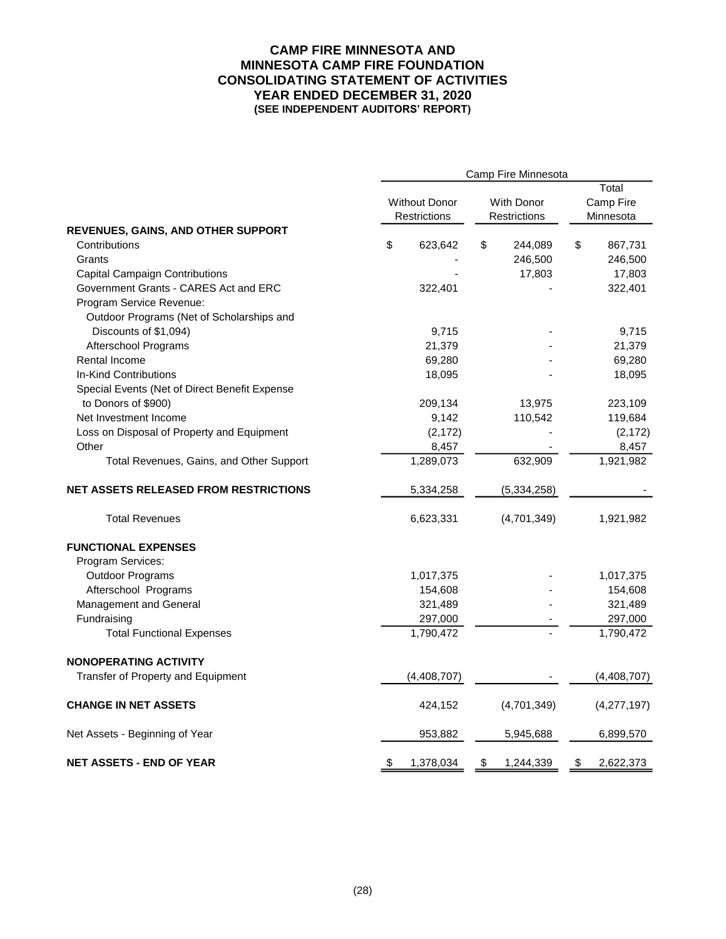#### **CAMP FIRE MINNESOTA AND MINNESOTA CAMP FIRE FOUNDATION CONSOLIDATING STATEMENT OF ACTIVITIES YEAR ENDED DECEMBER 31, 2020 (SEE INDEPENDENT AUDITORS' REPORT)**

| Camp Fire Minnesota |           |                                                                                                                                                                                                                                       |           |                                                                                                                                     |                      |  |
|---------------------|-----------|---------------------------------------------------------------------------------------------------------------------------------------------------------------------------------------------------------------------------------------|-----------|-------------------------------------------------------------------------------------------------------------------------------------|----------------------|--|
|                     |           |                                                                                                                                                                                                                                       |           |                                                                                                                                     | Total                |  |
|                     |           |                                                                                                                                                                                                                                       |           | Camp Fire<br>Minnesota                                                                                                              |                      |  |
|                     |           |                                                                                                                                                                                                                                       |           |                                                                                                                                     |                      |  |
|                     |           |                                                                                                                                                                                                                                       |           |                                                                                                                                     |                      |  |
| \$                  | 623,642   | \$                                                                                                                                                                                                                                    | 244,089   | \$                                                                                                                                  | 867,731              |  |
|                     |           |                                                                                                                                                                                                                                       |           |                                                                                                                                     | 246,500              |  |
|                     |           |                                                                                                                                                                                                                                       |           |                                                                                                                                     | 17,803               |  |
|                     |           |                                                                                                                                                                                                                                       |           |                                                                                                                                     | 322,401              |  |
|                     |           |                                                                                                                                                                                                                                       |           |                                                                                                                                     |                      |  |
|                     |           |                                                                                                                                                                                                                                       |           |                                                                                                                                     |                      |  |
|                     |           |                                                                                                                                                                                                                                       |           |                                                                                                                                     | 9,715                |  |
|                     |           |                                                                                                                                                                                                                                       |           |                                                                                                                                     | 21,379               |  |
|                     |           |                                                                                                                                                                                                                                       |           |                                                                                                                                     | 69,280               |  |
|                     |           |                                                                                                                                                                                                                                       |           |                                                                                                                                     | 18,095               |  |
|                     |           |                                                                                                                                                                                                                                       |           |                                                                                                                                     |                      |  |
|                     |           |                                                                                                                                                                                                                                       |           |                                                                                                                                     | 223,109              |  |
|                     |           |                                                                                                                                                                                                                                       |           |                                                                                                                                     | 119,684              |  |
|                     |           |                                                                                                                                                                                                                                       |           |                                                                                                                                     | (2, 172)             |  |
|                     |           |                                                                                                                                                                                                                                       |           |                                                                                                                                     | 8,457                |  |
|                     |           |                                                                                                                                                                                                                                       |           |                                                                                                                                     | 1,921,982            |  |
|                     |           |                                                                                                                                                                                                                                       |           |                                                                                                                                     |                      |  |
|                     | 5,334,258 |                                                                                                                                                                                                                                       |           |                                                                                                                                     |                      |  |
|                     | 6,623,331 |                                                                                                                                                                                                                                       |           |                                                                                                                                     | 1,921,982            |  |
|                     |           |                                                                                                                                                                                                                                       |           |                                                                                                                                     |                      |  |
|                     |           |                                                                                                                                                                                                                                       |           |                                                                                                                                     |                      |  |
|                     |           |                                                                                                                                                                                                                                       |           |                                                                                                                                     | 1,017,375            |  |
|                     |           |                                                                                                                                                                                                                                       |           |                                                                                                                                     | 154,608              |  |
|                     |           |                                                                                                                                                                                                                                       |           |                                                                                                                                     | 321,489              |  |
|                     |           |                                                                                                                                                                                                                                       |           |                                                                                                                                     |                      |  |
|                     |           |                                                                                                                                                                                                                                       |           |                                                                                                                                     | 297,000<br>1,790,472 |  |
|                     |           |                                                                                                                                                                                                                                       |           |                                                                                                                                     |                      |  |
|                     |           |                                                                                                                                                                                                                                       |           |                                                                                                                                     |                      |  |
|                     |           |                                                                                                                                                                                                                                       |           |                                                                                                                                     | (4,408,707)          |  |
|                     |           |                                                                                                                                                                                                                                       |           |                                                                                                                                     |                      |  |
|                     | 424,152   |                                                                                                                                                                                                                                       |           |                                                                                                                                     | (4,277,197)          |  |
|                     | 953,882   |                                                                                                                                                                                                                                       | 5,945,688 |                                                                                                                                     | 6,899,570            |  |
| \$                  |           | \$                                                                                                                                                                                                                                    | 1,244,339 | \$                                                                                                                                  | 2,622,373            |  |
|                     |           | <b>Without Donor</b><br>Restrictions<br>322,401<br>9,715<br>21,379<br>69,280<br>18,095<br>209,134<br>9,142<br>(2, 172)<br>8,457<br>1,289,073<br>1,017,375<br>154,608<br>321,489<br>297,000<br>1,790,472<br>(4, 408, 707)<br>1,378,034 |           | <b>With Donor</b><br>Restrictions<br>246,500<br>17,803<br>13,975<br>110,542<br>632,909<br>(5,334,258)<br>(4,701,349)<br>(4,701,349) |                      |  |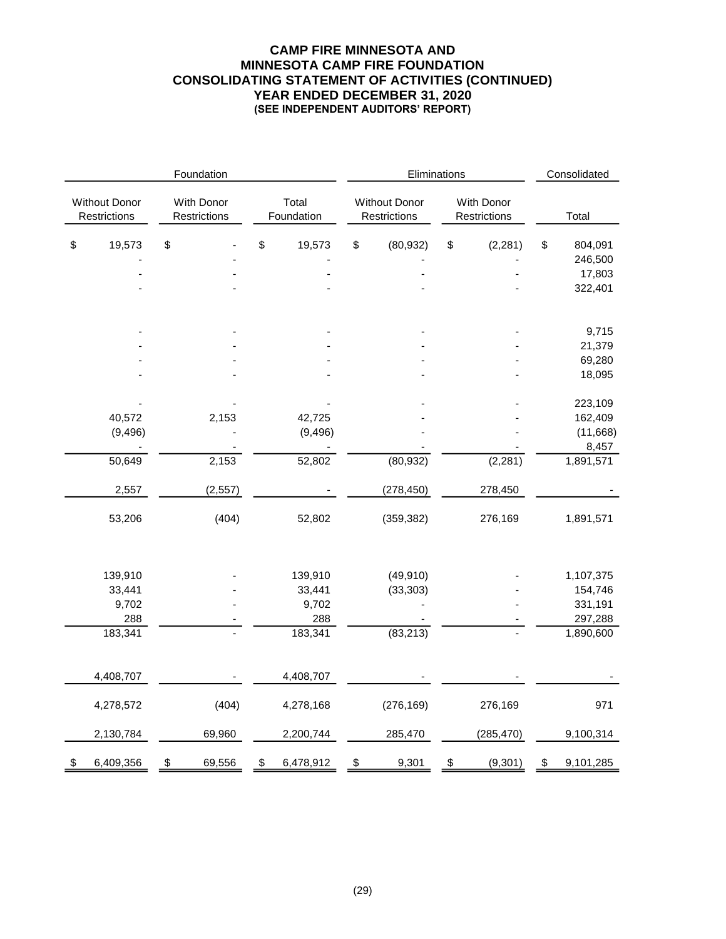### **CAMP FIRE MINNESOTA AND MINNESOTA CAMP FIRE FOUNDATION CONSOLIDATING STATEMENT OF ACTIVITIES (CONTINUED) YEAR ENDED DECEMBER 31, 2020 (SEE INDEPENDENT AUDITORS' REPORT)**

| Foundation                           |           |                            |          |                     |           |                                      | Eliminations |                            |            |    | Consolidated |  |
|--------------------------------------|-----------|----------------------------|----------|---------------------|-----------|--------------------------------------|--------------|----------------------------|------------|----|--------------|--|
| <b>Without Donor</b><br>Restrictions |           | With Donor<br>Restrictions |          | Total<br>Foundation |           | <b>Without Donor</b><br>Restrictions |              | With Donor<br>Restrictions |            |    | Total        |  |
| \$                                   | 19,573    | \$                         |          | \$                  | 19,573    | \$                                   | (80, 932)    | \$                         | (2, 281)   | \$ | 804,091      |  |
|                                      |           |                            |          |                     |           |                                      |              |                            |            |    | 246,500      |  |
|                                      |           |                            |          |                     |           |                                      |              |                            |            |    | 17,803       |  |
|                                      |           |                            |          |                     |           |                                      |              |                            |            |    | 322,401      |  |
|                                      |           |                            |          |                     |           |                                      |              |                            |            |    | 9,715        |  |
|                                      |           |                            |          |                     |           |                                      |              |                            |            |    | 21,379       |  |
|                                      |           |                            |          |                     |           |                                      |              |                            | 69,280     |    |              |  |
|                                      |           |                            |          |                     |           |                                      |              |                            |            |    | 18,095       |  |
|                                      |           |                            |          |                     |           |                                      |              |                            |            |    | 223,109      |  |
|                                      | 40,572    |                            | 2,153    |                     | 42,725    |                                      |              |                            |            |    | 162,409      |  |
|                                      | (9, 496)  |                            |          |                     | (9, 496)  |                                      |              |                            |            |    | (11,668)     |  |
|                                      |           |                            |          |                     |           |                                      |              |                            |            |    | 8,457        |  |
|                                      | 50,649    |                            | 2,153    |                     | 52,802    |                                      | (80, 932)    |                            | (2, 281)   |    | 1,891,571    |  |
|                                      | 2,557     |                            | (2, 557) |                     |           |                                      | (278, 450)   |                            | 278,450    |    |              |  |
|                                      | 53,206    |                            | (404)    |                     | 52,802    |                                      | (359, 382)   |                            | 276,169    |    | 1,891,571    |  |
|                                      | 139,910   |                            |          |                     | 139,910   |                                      | (49, 910)    |                            |            |    | 1,107,375    |  |
|                                      | 33,441    |                            |          |                     | 33,441    |                                      | (33, 303)    |                            |            |    | 154,746      |  |
|                                      | 9,702     |                            |          |                     | 9,702     |                                      |              |                            |            |    | 331,191      |  |
|                                      | 288       |                            |          |                     | 288       |                                      |              |                            |            |    | 297,288      |  |
|                                      | 183,341   |                            |          |                     | 183,341   |                                      | (83, 213)    |                            |            |    | 1,890,600    |  |
|                                      |           |                            |          |                     |           |                                      |              |                            |            |    |              |  |
|                                      | 4,408,707 |                            |          |                     | 4,408,707 |                                      |              |                            |            |    |              |  |
|                                      | 4,278,572 |                            | (404)    |                     | 4,278,168 |                                      | (276, 169)   |                            | 276,169    |    | 971          |  |
|                                      | 2,130,784 |                            | 69,960   |                     | 2,200,744 |                                      | 285,470      |                            | (285, 470) |    | 9,100,314    |  |
| \$                                   | 6,409,356 | \$                         | 69,556   | \$                  | 6,478,912 | \$                                   | 9,301        | \$                         | (9, 301)   | \$ | 9,101,285    |  |